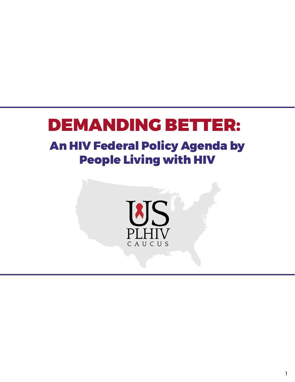# DEMANDING BETTER:

# An HIV Federal Policy Agenda by People Living with HIV

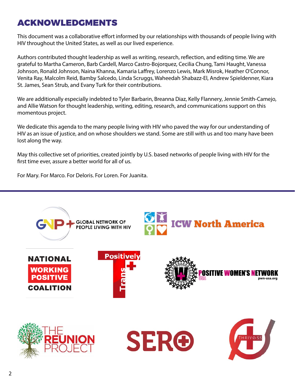# ACKNOWLEDGMENTS

This document was a collaborative effort informed by our relationships with thousands of people living with HIV throughout the United States, as well as our lived experience.

Authors contributed thought leadership as well as writing, research, reflection, and editing time. We are grateful to Martha Cameron, Barb Cardell, Marco Castro-Bojorquez, Cecilia Chung, Tami Haught, Vanessa Johnson, Ronald Johnson, Naina Khanna, Kamaria Laffrey, Lorenzo Lewis, Mark Misrok, Heather O'Connor, Venita Ray, Malcolm Reid, Bamby Salcedo, Linda Scruggs, Waheedah Shabazz-El, Andrew Spieldenner, Kiara St. James, Sean Strub, and Evany Turk for their contributions.

We are additionally especially indebted to Tyler Barbarin, Breanna Diaz, Kelly Flannery, Jennie Smith-Camejo, and Allie Watson for thought leadership, writing, editing, research, and communications support on this momentous project.

We dedicate this agenda to the many people living with HIV who paved the way for our understanding of HIV as an issue of justice, and on whose shoulders we stand. Some are still with us and too many have been lost along the way.

May this collective set of priorities, created jointly by U.S. based networks of people living with HIV for the first time ever, assure a better world for all of us.

For Mary. For Marco. For Deloris. For Loren. For Juanita.

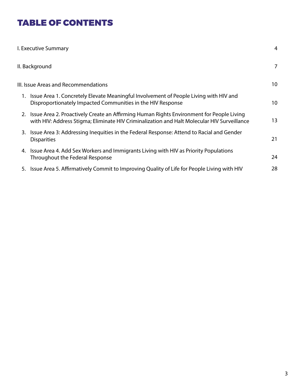# TABLE OF CONTENTS

| I. Executive Summary                                                                                                                                                                       | 4               |
|--------------------------------------------------------------------------------------------------------------------------------------------------------------------------------------------|-----------------|
| II. Background                                                                                                                                                                             | 7               |
| III. Issue Areas and Recommendations                                                                                                                                                       | 10              |
| 1. Issue Area 1. Concretely Elevate Meaningful Involvement of People Living with HIV and<br>Disproportionately Impacted Communities in the HIV Response                                    | 10 <sup>°</sup> |
| 2. Issue Area 2. Proactively Create an Affirming Human Rights Environment for People Living<br>with HIV: Address Stigma; Eliminate HIV Criminalization and Halt Molecular HIV Surveillance | 13              |
| 3. Issue Area 3: Addressing Inequities in the Federal Response: Attend to Racial and Gender<br><b>Disparities</b>                                                                          | 21              |
| 4. Issue Area 4. Add Sex Workers and Immigrants Living with HIV as Priority Populations<br>Throughout the Federal Response                                                                 | 24              |
| 5. Issue Area 5. Affirmatively Commit to Improving Quality of Life for People Living with HIV                                                                                              | 28              |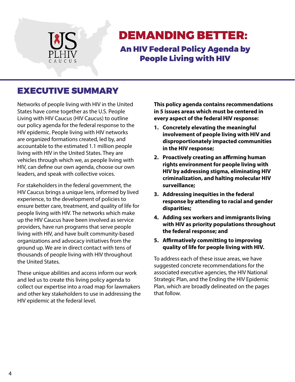

# DEMANDING BETTER:

An HIV Federal Policy Agenda by People Living with HIV

# EXECUTIVE SUMMARY

Networks of people living with HIV in the United States have come together as the U.S. People Living with HIV Caucus (HIV Caucus) to outline our policy agenda for the federal response to the HIV epidemic. People living with HIV networks are organized formations created, led by, and accountable to the estimated 1.1 million people living with HIV in the United States. They are vehicles through which we, as people living with HIV, can define our own agenda, choose our own leaders, and speak with collective voices.

For stakeholders in the federal government, the HIV Caucus brings a unique lens, informed by lived experience, to the development of policies to ensure better care, treatment, and quality of life for people living with HIV. The networks which make up the HIV Caucus have been involved as service providers, have run programs that serve people living with HIV, and have built community-based organizations and advocacy initiatives from the ground up. We are in direct contact with tens of thousands of people living with HIV throughout the United States.

These unique abilities and access inform our work and led us to create this living policy agenda to collect our expertise into a road map for lawmakers and other key stakeholders to use in addressing the HIV epidemic at the federal level.

**This policy agenda contains recommendations in 5 issues areas which must be centered in every aspect of the federal HIV response:**

- **1. Concretely elevating the meaningful involvement of people living with HIV and disproportionately impacted communities in the HIV response;**
- **2. Proactively creating an affirming human rights environment for people living with HIV by addressing stigma, eliminating HIV criminalization, and halting molecular HIV surveillance;**
- **3. Addressing inequities in the federal response by attending to racial and gender disparities;**
- **4. Adding sex workers and immigrants living with HIV as priority populations throughout the federal response; and**
- **5. Affirmatively committing to improving quality of life for people living with HIV.**

To address each of these issue areas, we have suggested concrete recommendations for the associated executive agencies, the HIV National Strategic Plan, and the Ending the HIV Epidemic Plan, which are broadly delineated on the pages that follow.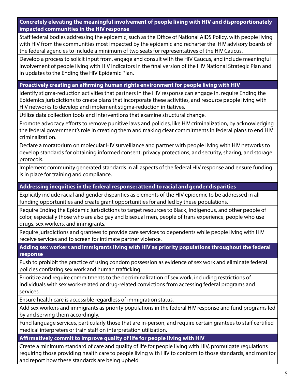**Concretely elevating the meaningful involvement of people living with HIV and disproportionately impacted communities in the HIV response**

Staff federal bodies addressing the epidemic, such as the Office of National AIDS Policy, with people living with HIV from the communities most impacted by the epidemic and recharter the HIV advisory boards of the federal agencies to include a minimum of two seats for representatives of the HIV Caucus.

Develop a process to solicit input from, engage and consult with the HIV Caucus, and include meaningful involvement of people living with HIV indicators in the final version of the HIV National Strategic Plan and in updates to the Ending the HIV Epidemic Plan.

#### **Proactively creating an affirming human rights environment for people living with HIV**

Identify stigma-reduction activities that partners in the HIV response can engage in, require Ending the Epidemics jurisdictions to create plans that incorporate these activities, and resource people living with HIV networks to develop and implement stigma-reduction initiatives.

Utilize data collection tools and interventions that examine structural change.

Promote advocacy efforts to remove punitive laws and policies, like HIV criminalization, by acknowledging the federal government's role in creating them and making clear commitments in federal plans to end HIV criminalization.

Declare a moratorium on molecular HIV surveillance and partner with people living with HIV networks to develop standards for obtaining informed consent; privacy protections; and security, sharing, and storage protocols.

Implement community generated standards in all aspects of the federal HIV response and ensure funding is in place for training and compliance.

#### **Addressing inequities in the federal response: attend to racial and gender disparities**

Explicitly include racial and gender disparities as elements of the HIV epidemic to be addressed in all funding opportunities and create grant opportunities for and led by these populations.

Require Ending the Epidemic jurisdictions to target resources to Black, Indigenous, and other people of color, especially those who are also gay and bisexual men, people of trans experience, people who use drugs, sex workers, and immigrants.

Require jurisdictions and grantees to provide care services to dependents while people living with HIV receive services and to screen for intimate partner violence.

**Adding sex workers and immigrants living with HIV as priority populations throughout the federal response**

Push to prohibit the practice of using condom possession as evidence of sex work and eliminate federal policies conflating sex work and human trafficking.

Prioritize and require commitments to the decriminalization of sex work, including restrictions of individuals with sex work-related or drug-related convictions from accessing federal programs and services.

Ensure health care is accessible regardless of immigration status.

Add sex workers and immigrants as priority populations in the federal HIV response and fund programs led by and serving them accordingly.

Fund language services, particularly those that are in-person, and require certain grantees to staff certified medical interpreters or train staff on interpretation utilization.

#### **Affirmatively commit to improve quality of life for people living with HIV**

Create a minimum standard of care and quality of life for people living with HIV, promulgate regulations requiring those providing health care to people living with HIV to conform to those standards, and monitor and report how these standards are being upheld.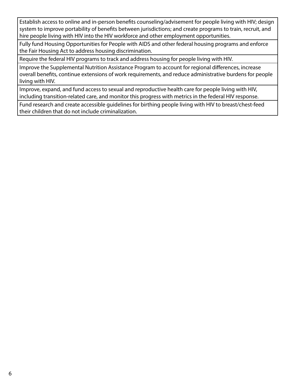Establish access to online and in-person benefits counseling/advisement for people living with HIV; design system to improve portability of benefits between jurisdictions; and create programs to train, recruit, and hire people living with HIV into the HIV workforce and other employment opportunities.

Fully fund Housing Opportunities for People with AIDS and other federal housing programs and enforce the Fair Housing Act to address housing discrimination.

Require the federal HIV programs to track and address housing for people living with HIV.

Improve the Supplemental Nutrition Assistance Program to account for regional differences, increase overall benefits, continue extensions of work requirements, and reduce administrative burdens for people living with HIV.

Improve, expand, and fund access to sexual and reproductive health care for people living with HIV, including transition-related care, and monitor this progress with metrics in the federal HIV response.

Fund research and create accessible guidelines for birthing people living with HIV to breast/chest-feed their children that do not include criminalization.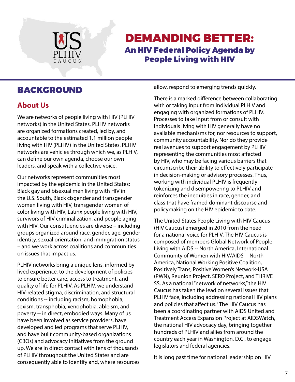

# An HIV Federal Policy Agenda by People Living with HIV DEMANDING BETTER:

## **About Us**

We are networks of people living with HIV (PLHIV networks) in the United States. PLHIV networks are organized formations created, led by, and accountable to the estimated 1.1 million people living with HIV (PLHIV) in the United States. PLHIV networks are vehicles through which we, as PLHIV, can define our own agenda, choose our own leaders, and speak with a collective voice.

Our networks represent communities most impacted by the epidemic in the United States: Black gay and bisexual men living with HIV in the U.S. South, Black cisgender and transgender women living with HIV, transgender women of color living with HIV, Latinx people living with HIV, survivors of HIV criminalization, and people aging with HIV. Our constituencies are diverse – including groups organized around race, gender, age, gender identity, sexual orientation, and immigration status – and we work across coalitions and communities on issues that impact us.

PLHIV networks bring a unique lens, informed by lived experience, to the development of policies to ensure better care, access to treatment, and quality of life for PLHIV. As PLHIV, we understand HIV-related stigma, discrimination, and structural conditions -- including racism, homophobia, sexism, transphobia, xenophobia, ableism, and poverty -- in direct, embodied ways. Many of us have been involved as service providers, have developed and led programs that serve PLHIV, and have built community-based organizations (CBOs) and advocacy initiatives from the ground up. We are in direct contact with tens of thousands of PLHIV throughout the United States and are consequently able to identify and, where resources

**BACKGROUND** allow, respond to emerging trends quickly.

There is a marked difference between collaborating with or taking input from individual PLHIV and engaging with organized formations of PLHIV. Processes to take input from or consult with individuals living with HIV generally have no available mechanisms for, nor resources to support, community accountability. Nor do they provide real avenues to support engagement by PLHIV representing the communities most affected by HIV, who may be facing various barriers that circumscribe their ability to effectively participate in decision-making or advisory processes. Thus, working with individual PLHIV is frequently tokenizing and disempowering to PLHIV and reinforces the inequities in race, gender, and class that have framed dominant discourse and policymaking on the HIV epidemic to date.

The United States People Living with HIV Caucus (HIV Caucus) emerged in 2010 from the need for a national voice for PLHIV. The HIV Caucus is composed of members Global Network of People Living with AIDS -- North America, International Community of Women with HIV/AIDS -- North America, National Working Positive Coalition, Positively Trans, Positive Women's Network-USA (PWN), Reunion Project, SERO Project, and THRIVE SS. As a national "network of networks," the HIV Caucus has taken the lead on several issues that PLHIV face, including addressing national HIV plans and policies that affect us.1 The HIV Caucus has been a coordinating partner with AIDS United and Treatment Access Expansion Project at AIDSWatch, the national HIV advocacy day, bringing together hundreds of PLHIV and allies from around the country each year in Washington, D.C., to engage legislators and federal agencies.

It is long past time for national leadership on HIV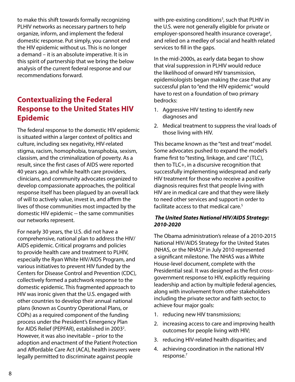to make this shift towards formally recognizing PLHIV networks as necessary partners to help organize, inform, and implement the federal domestic response. Put simply, you cannot end the HIV epidemic without us. This is no longer a demand – it is an absolute imperative. It is in this spirit of partnership that we bring the below analysis of the current federal response and our recommendations forward.

# **Contextualizing the Federal Response to the United States HIV Epidemic**

The federal response to the domestic HIV epidemic is situated within a larger context of politics and culture, including sex negativity, HIV-related stigma, racism, homophobia, transphobia, sexism, classism, and the criminalization of poverty. As a result, since the first cases of AIDS were reported 40 years ago, and while health care providers, clinicians, and community advocates organized to develop compassionate approaches, the political response itself has been plagued by an overall lack of will to actively value, invest in, and affirm the lives of those communities most impacted by the domestic HIV epidemic -- the same communities our networks represent.

For nearly 30 years, the U.S. did not have a comprehensive, national plan to address the HIV/ AIDS epidemic. Critical programs and policies to provide health care and treatment to PLHIV, especially the Ryan White HIV/AIDS Program, and various initiatives to prevent HIV funded by the Centers for Disease Control and Prevention (CDC), collectively formed a patchwork response to the domestic epidemic. This fragmented approach to HIV was ironic given that the U.S. engaged with other countries to develop their annual national plans (known as Country Operational Plans, or COPs) as a required component of the funding process under the President's Emergency Plan for AIDS Relief (PEPFAR), established in 2003<sup>2</sup>. However, it was also inevitable – prior to the adoption and enactment of the Patient Protection and Affordable Care Act (ACA), health insurers were legally permitted to discriminate against people

with pre-existing conditions<sup>3</sup>, such that PLHIV in the U.S. were not generally eligible for private or employer-sponsored health insurance coverage<sup>4</sup>, and relied on a medley of social and health related services to fill in the gaps.

In the mid-2000s, as early data began to show that viral suppression in PLHIV would reduce the likelihood of onward HIV transmission, epidemiologists began making the case that any successful plan to "end the HIV epidemic" would have to rest on a foundation of two primary bedrocks:

- 1. Aggressive HIV testing to identify new diagnoses and
- 2. Medical treatment to suppress the viral loads of those living with HIV.

This became known as the "test and treat" model. Some advocates pushed to expand the model's frame first to "testing, linkage, and care" (TLC), then to TLC+, in a discursive recognition that successfully implementing widespread and early HIV treatment for those who receive a positive diagnosis requires first that people living with HIV are in medical care and that they were likely to need other services and support in order to facilitate access to that medical care.<sup>5</sup>

#### *The United States National HIV/AIDS Strategy: 2010-2020*

The Obama administration's release of a 2010-2015 National HIV/AIDS Strategy for the United States (NHAS, or the NHAS)<sup>6</sup> in July 2010 represented a significant milestone. The NHAS was a White House-level document, complete with the Presidential seal. It was designed as the first crossgovernment response to HIV, explicitly requiring leadership and action by multiple federal agencies, along with involvement from other stakeholders including the private sector and faith sector, to achieve four major goals:

- 1. reducing new HIV transmissions;
- 2. increasing access to care and improving health outcomes for people living with HIV;
- 3. reducing HIV-related health disparities; and
- 4. achieving coordination in the national HIV response.7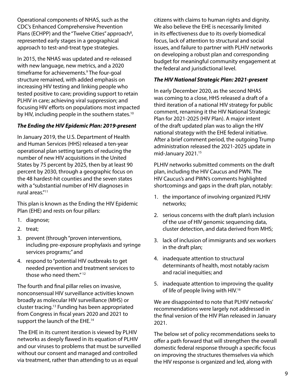Operational components of NHAS, such as the CDC's Enhanced Comprehensive Prevention Plans (ECHPP) and the "Twelve Cities" approach<sup>8</sup>, represented early stages in a geographical approach to test-and-treat type strategies.

In 2015, the NHAS was updated and re-released with new language, new metrics, and a 2020 timeframe for achievements.<sup>9</sup> The four-goal structure remained, with added emphasis on increasing HIV testing and linking people who tested positive to care; providing support to retain PLHIV in care; achieving viral suppression; and focusing HIV efforts on populations most impacted by HIV, including people in the southern states.<sup>10</sup>

#### *The Ending the HIV Epidemic Plan: 2019-present*

In January 2019, the U.S. Department of Health and Human Services (HHS) released a ten-year operational plan setting targets of reducing the number of new HIV acquisitions in the United States by 75 percent by 2025, then by at least 90 percent by 2030, through a geographic focus on the 48 hardest-hit counties and the seven states with a "substantial number of HIV diagnoses in rural areas."11

This plan is known as the Ending the HIV Epidemic Plan (EHE) and rests on four pillars:

- 1. diagnose;
- 2. treat;
- 3. prevent (through "proven interventions, including pre-exposure prophylaxis and syringe services programs;" and
- 4. respond to "potential HIV outbreaks to get needed prevention and treatment services to those who need them."<sup>12</sup>

The fourth and final pillar relies on invasive, nonconsensual HIV surveillance activities known broadly as molecular HIV surveillance (MHS) or cluster tracing.13 Funding has been appropriated from Congress in fiscal years 2020 and 2021 to support the launch of the EHE.<sup>14</sup>

 The EHE in its current iteration is viewed by PLHIV networks as deeply flawed in its equation of PLHIV and our viruses to problems that must be surveilled without our consent and managed and controlled via treatment, rather than attending to us as equal

citizens with claims to human rights and dignity. We also believe the EHE is necessarily limited in its effectiveness due to its overly biomedical focus, lack of attention to structural and social issues, and failure to partner with PLHIV networks on developing a robust plan and corresponding budget for meaningful community engagement at the federal and jurisdictional level.

#### *The HIV National Strategic Plan: 2021-present*

In early December 2020, as the second NHAS was coming to a close, HHS released a draft of a third iteration of a national HIV strategy for public comment, renaming it the HIV National Strategic Plan for 2021-2025 (HIV Plan). A major intent of the draft updated plan was to align the HIV national strategy with the EHE federal initiative. After a brief comment period, the outgoing Trump administration released the 2021-2025 update in mid-January 2021.<sup>15</sup>

PLHIV networks submitted comments on the draft plan, including the HIV Caucus and PWN. The HIV Caucus's and PWN's comments highlighted shortcomings and gaps in the draft plan, notably:

- 1. the importance of involving organized PLHIV networks;
- 2. serious concerns with the draft plan's inclusion of the use of HIV genomic sequencing data, cluster detection, and data derived from MHS;
- 3. lack of inclusion of immigrants and sex workers in the draft plan;
- 4. inadequate attention to structural determinants of health, most notably racism and racial inequities; and
- 5. inadequate attention to improving the quality of life of people living with HIV.16

We are disappointed to note that PLHIV networks' recommendations were largely not addressed in the final version of the HIV Plan released in January 2021.

The below set of policy recommendations seeks to offer a path forward that will strengthen the overall domestic federal response through a specific focus on improving the structures themselves via which the HIV response is organized and led, along with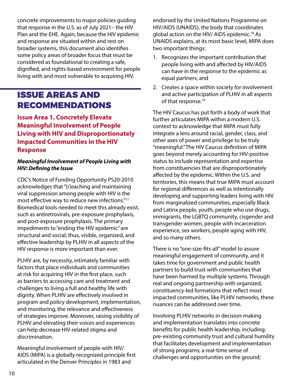concrete improvements to major policies guiding that response in the U.S. as of July 2021– the HIV Plan and the EHE. Again, because the HIV epidemic and response are situated within and rest on broader systems, this document also identifies some policy areas of broader focus that must be considered as foundational to creating a safe, dignified, and rights-based environment for people living with and most vulnerable to acquiring HIV.

# ISSUE AREAS AND RECOMMENDATIONS

**Issue Area 1. Concretely Elevate Meaningful Involvement of People Living with HIV and Disproportionately Impacted Communities in the HIV Response**

#### *Meaningful Involvement of People Living with HIV: Defining the Issue*

CDC's Notice of Funding Opportunity PS20-2010 acknowledges that "[r]eaching and maintaining viral suppression among people with HIV is the most effective way to reduce new infections."17 Biomedical tools needed to meet this already exist, such as antiretrovirals, pre-exposure prophylaxis, and post-exposure prophylaxis. The primary impediments to "ending the HIV epidemic" are structural and social; thus, visible, organized, and effective leadership by PLHIV in all aspects of the HIV response is more important than ever.

PLHIV are, by necessity, intimately familiar with factors that place individuals and communities at risk for acquiring HIV in the first place, such as barriers to accessing care and treatment and challenges to living a full and healthy life with dignity. When PLHIV are effectively involved in program and policy development, implementation, and monitoring, the relevance and effectiveness of strategies improve. Moreover, raising visibility of PLHIV and elevating their voices and experiences can help decrease HIV-related stigma and discrimination.

Meaningful involvement of people with HIV/ AIDS (MIPA) is a globally recognized principle first articulated in the Denver Principles in 1983 and

endorsed by the United Nations Programme on HIV/AIDS (UNAIDS), the body that coordinates global action on the HIV/ AIDS epidemic.18 As UNAIDS explains, at its most basic level, MIPA does two important things:

- 1. Recognizes the important contribution that people living with and affected by HIV/AIDS can have in the response to the epidemic as equal partners; and
- 2. Creates a space within society for involvement and active participation of PLHIV in all aspects of that response.<sup>19</sup>

The HIV Caucus has put forth a body of work that further articulates MIPA within a modern U.S. context to acknowledge that MIPA must fully integrate a lens around racial, gender, class, and other axes of power and privilege to be truly "meaningful." The HIV Caucus definition of MIPA goes beyond merely accounting for HIV-positive status to include representation and expertise from constituencies that are disproportionately affected by the epidemic. Within the U.S. and territories, this means that true MIPA must account for regional differences as well as intentionally developing and supporting leaders living with HIV from marginalized communities, especially Black and Latinx people, youth, people who use drugs, immigrants, the LGBTQ community, cisgender and transgender women, people with incarceration experience, sex workers, people aging with HIV, and so many others.

There is no "one-size-fits-all" model to assure meaningful engagement of community, and it takes time for government and public health partners to build trust with communities that have been harmed by multiple systems. Through real and ongoing partnership with organized, constituency-led formations that reflect most impacted communities, like PLHIV networks, these nuances can be addressed over time.

Involving PLHIV networks in decision-making and implementation translates into concrete benefits for public health leadership, including: pre-existing community trust and cultural humility that facilitates development and implementation of strong programs; a real-time sense of challenges and opportunities on the ground;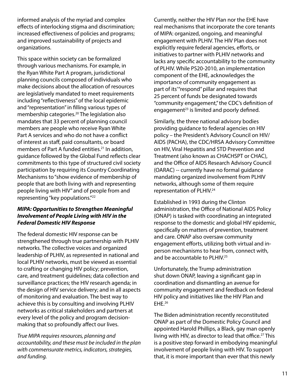informed analysis of the myriad and complex effects of interlocking stigma and discrimination; increased effectiveness of policies and programs; and improved sustainability of projects and organizations.

This space within society can be formalized through various mechanisms. For example, in the Ryan White Part A program, jurisdictional planning councils composed of individuals who make decisions about the allocation of resources are legislatively mandated to meet requirements including "reflectiveness" of the local epidemic and "representation" in filling various types of membership categories.20 The legislation also mandates that 33 percent of planning council members are people who receive Ryan White Part A services and who do not have a conflict of interest as staff, paid consultants, or board members of Part A funded entities.<sup>21</sup> In addition, guidance followed by the Global Fund reflects clear commitments to this type of structured civil society participation by requiring its Country Coordinating Mechanisms to "show evidence of membership of people that are both living with and representing people living with HIV" and of people from and representing "key populations."22

#### *MIPA: Opportunities to Strengthen Meaningful Involvement of People Living with HIV in the Federal Domestic HIV Response*

The federal domestic HIV response can be strengthened through true partnership with PLHIV networks. The collective voices and organized leadership of PLHIV, as represented in national and local PLHIV networks, must be viewed as essential to crafting or changing HIV policy; prevention, care, and treatment guidelines; data collection and surveillance practices; the HIV research agenda; in the design of HIV service delivery; and in all aspects of monitoring and evaluation. The best way to achieve this is by consulting and involving PLHIV networks as critical stakeholders and partners at every level of the policy and program decisionmaking that so profoundly affect our lives.

*True MIPA requires resources, planning and accountability, and these must be included in the plan with commensurate metrics, indicators, strategies, and funding.*

Currently, neither the HIV Plan nor the EHE have real mechanisms that incorporate the core tenants of MIPA: organized, ongoing, and meaningful engagement with PLHIV. The HIV Plan does not explicitly require federal agencies, efforts, or initiatives to partner with PLHIV networks and lacks any specific accountability to the community of PLHIV. While PS20-2010, an implementation component of the EHE, acknowledges the importance of community engagement as part of its'"respond" pillar and requires that 25 percent of funds be designated towards "community engagement," the CDC's definition of engagement $23$  is limited and poorly defined.

Similarly, the three national advisory bodies providing guidance to federal agencies on HIV policy – the President's Advisory Council on HIV/ AIDS (PACHA), the CDC/HRSA Advisory Committee on HIV, Viral Hepatitis and STD Prevention and Treatment (also known as CHACHSPT or CHAC), and the Office of AIDS Research Advisory Council (OARAC) -- currently have no formal guidance mandating organized involvement from PLHIV networks, although some of them require representation of PLHIV.<sup>24</sup>

Established in 1993 during the Clinton administration, the Office of National AIDS Policy (ONAP) is tasked with coordinating an integrated response to the domestic and global HIV epidemic, specifically on matters of prevention, treatment and care. ONAP also oversaw community engagement efforts, utilizing both virtual and inperson mechanisms to hear from, connect with, and be accountable to PLHIV.<sup>25</sup>

Unfortunately, the Trump administration shut down ONAP, leaving a significant gap in coordination and dismantling an avenue for community engagement and feedback on federal HIV policy and initiatives like the HIV Plan and EHE.26

The Biden administration recently reconstituted ONAP as part of the Domestic Policy Council and appointed Harold Phillips, a Black, gay man openly living with HIV, as director to lead that office.<sup>27</sup> This is a positive step forward in embodying meaningful involvement of people living with HIV. To support that, it is more important than ever that this newly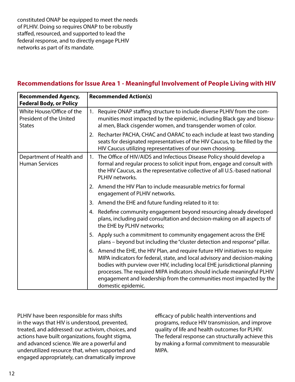constituted ONAP be equipped to meet the needs of PLHIV. Doing so requires ONAP to be robustly staffed, resourced, and supported to lead the federal response, and to directly engage PLHIV networks as part of its mandate.

#### **Recommendations for Issue Area 1 - Meaningful Involvement of People Living with HIV**

| <b>Recommended Agency,</b><br><b>Federal Body, or Policy</b>          | <b>Recommended Action(s)</b>                                                                                                                                                                                                                                                                                                                                                                                     |  |  |
|-----------------------------------------------------------------------|------------------------------------------------------------------------------------------------------------------------------------------------------------------------------------------------------------------------------------------------------------------------------------------------------------------------------------------------------------------------------------------------------------------|--|--|
| White House/Office of the<br>President of the United<br><b>States</b> | Require ONAP staffing structure to include diverse PLHIV from the com-<br>1.<br>munities most impacted by the epidemic, including Black gay and bisexu-<br>al men, Black cisgender women, and transgender women of color.                                                                                                                                                                                        |  |  |
|                                                                       | 2. Recharter PACHA, CHAC and OARAC to each include at least two standing<br>seats for designated representatives of the HIV Caucus, to be filled by the<br>HIV Caucus utilizing representatives of our own choosing.                                                                                                                                                                                             |  |  |
| Department of Health and<br><b>Human Services</b>                     | The Office of HIV/AIDS and Infectious Disease Policy should develop a<br>1.<br>formal and regular process to solicit input from, engage and consult with<br>the HIV Caucus, as the representative collective of all U.S.-based national<br>PLHIV networks.                                                                                                                                                       |  |  |
|                                                                       | 2. Amend the HIV Plan to include measurable metrics for formal<br>engagement of PLHIV networks.                                                                                                                                                                                                                                                                                                                  |  |  |
|                                                                       | 3. Amend the EHE and future funding related to it to:                                                                                                                                                                                                                                                                                                                                                            |  |  |
|                                                                       | 4. Redefine community engagement beyond resourcing already developed<br>plans, including paid consultation and decision-making on all aspects of<br>the EHE by PLHIV networks;                                                                                                                                                                                                                                   |  |  |
|                                                                       | 5. Apply such a commitment to community engagement across the EHE<br>plans - beyond but including the "cluster detection and response" pillar.                                                                                                                                                                                                                                                                   |  |  |
|                                                                       | 6. Amend the EHE, the HIV Plan, and require future HIV initiatives to require<br>MIPA indicators for federal, state, and local advisory and decision-making<br>bodies with purview over HIV, including local EHE jurisdictional planning<br>processes. The required MIPA indicators should include meaningful PLHIV<br>engagement and leadership from the communities most impacted by the<br>domestic epidemic. |  |  |

PLHIV have been responsible for mass shifts in the ways that HIV is understood, prevented, treated, and addressed: our activism, choices, and actions have built organizations, fought stigma, and advanced science. We are a powerful and underutilized resource that, when supported and engaged appropriately, can dramatically improve

efficacy of public health interventions and programs, reduce HIV transmission, and improve quality of life and health outcomes for PLHIV. The federal response can structurally achieve this by making a formal commitment to measurable MIPA.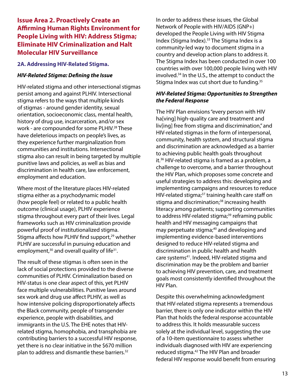#### **Issue Area 2. Proactively Create an Affirming Human Rights Environment for People Living with HIV: Address Stigma; Eliminate HIV Criminalization and Halt Molecular HIV Surveillance**

#### **2A. Addressing HIV-Related Stigma.**

#### *HIV-Related Stigma: Defining the Issue*

HIV-related stigma and other intersectional stigmas persist among and against PLHIV. Intersectional stigma refers to the ways that multiple kinds of stigmas - around gender identity, sexual orientation, socioeconomic class, mental health, history of drug use, incarceration, and/or sex work - are compounded for some PLHIV.<sup>28</sup> These have deleterious impacts on people's lives, as they experience further marginalization from communities and institutions. Intersectional stigma also can result in being targeted by multiple punitive laws and policies, as well as bias and discrimination in health care, law enforcement, employment and education.

Where most of the literature places HIV-related stigma either as a psychodynamic model (how people feel) or related to a public health outcome (clinical usage), PLHIV experience stigma throughout every part of their lives. Legal frameworks such as HIV criminalization provide powerful proof of institutionalized stigma. Stigma affects how PLHIV find support,<sup>29</sup> whether PLHIV are successful in pursuing education and employment, $30$  and overall quality of life $31$ .

The result of these stigmas is often seen in the lack of social protections provided to the diverse communities of PLHIV. Criminalization based on HIV-status is one clear aspect of this, yet PLHIV face multiple vulnerabilities. Punitive laws around sex work and drug use affect PLHIV, as well as how intensive policing disproportionately affects the Black community, people of transgender experience, people with disabilities, and immigrants in the U.S. The EHE notes that HIVrelated stigma, homophobia, and transphobia are contributing barriers to a successful HIV response, yet there is no clear initiative in the \$670 million plan to address and dismantle these barriers.32

In order to address these issues, the Global Network of People with HIV/AIDS (GNP+) developed the People Living with HIV Stigma Index (Stigma Index).33 The Stigma Index is a community-led way to document stigma in a country and develop action plans to address it. The Stigma Index has been conducted in over 100 countries with over 100,000 people living with HIV involved.34 In the U.S., the attempt to conduct the Stigma Index was cut short due to funding.<sup>35</sup>

#### *HIV-Related Stigma: Opportunities to Strengthen the Federal Response*

The HIV Plan envisions "every person with HIV ha[ving] high-quality care and treatment and liv[ing] free from stigma and discrimination," and HIV-related stigmas in the form of interpersonal, community, health system, and structural stigma and discrimination are acknowledged as a barrier to achieving public health goals throughout it.36 HIV-related stigma is framed as a problem, a challenge to overcome, and a barrier throughout the HIV Plan, which proposes some concrete and useful strategies to address this: developing and implementing campaigns and resources to reduce HIV-related stigma;<sup>37</sup> training health care staff on stigma and discrimination;<sup>38</sup> increasing health literacy among patients; supporting communities to address HIV-related stigma;<sup>39</sup> reframing public health and HIV messaging campaigns that may perpetuate stigma;<sup>40</sup> and developing and implementing evidence-based interventions designed to reduce HIV-related stigma and discrimination in public health and health care systems<sup>41</sup>. Indeed, HIV-related stigma and discrimination may be the problem and barrier to achieving HIV prevention, care, and treatment goals most consistently identified throughout the HIV Plan.

Despite this overwhelming acknowledgment that HIV-related stigma represents a tremendous barrier, there is only one indicator within the HIV Plan that holds the federal response accountable to address this. It holds measurable success solely at the individual level, suggesting the use of a 10-item questionnaire to assess whether individuals diagnosed with HIV are experiencing reduced stigma.<sup>42</sup> The HIV Plan and broader federal HIV response would benefit from ensuring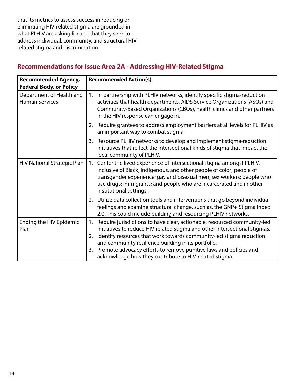that its metrics to assess success in reducing or eliminating HIV-related stigma are grounded in what PLHIV are asking for and that they seek to address individual, community, and structural HIVrelated stigma and discrimination.

#### **Recommended Agency, Federal Body, or Policy Recommended Action(s)** Department of Health and Human Services 1. In partnership with PLHIV networks, identify specific stigma-reduction activities that health departments, AIDS Service Organizations (ASOs) and Community-Based Organizations (CBOs), health clinics and other partners in the HIV response can engage in. 2. Require grantees to address employment barriers at all levels for PLHIV as an important way to combat stigma. 3. Resource PLHIV networks to develop and implement stigma-reduction initiatives that reflect the intersectional kinds of stigma that impact the local community of PLHIV. HIV National Strategic Plan  $|1.$  Center the lived experience of intersectional stigma amongst PLHIV, inclusive of Black, Indigenous, and other people of color; people of transgender experience; gay and bisexual men; sex workers; people who use drugs; immigrants; and people who are incarcerated and in other institutional settings. 2. Utilize data collection tools and interventions that go beyond individual feelings and examine structural change, such as, the GNP+ Stigma Index 2.0. This could include building and resourcing PLHIV networks. Ending the HIV Epidemic Plan 1. Require jurisdictions to have clear, actionable, resourced community-led initiatives to reduce HIV-related stigma and other intersectional stigmas. 2. Identify resources that work towards community-led stigma reduction and community resilience building in its portfolio. 3. Promote advocacy efforts to remove punitive laws and policies and acknowledge how they contribute to HIV-related stigma.

#### **Recommendations for Issue Area 2A - Addressing HIV-Related Stigma**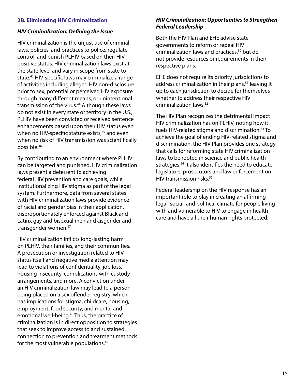#### **2B. Eliminating HIV Criminalization**

#### *HIV Criminalization: Defining the Issue*

HIV criminalization is the unjust use of criminal laws, policies, and practices to police, regulate, control, and punish PLHIV based on their HIVpositive status. HIV criminalization laws exist at the state level and vary in scope from state to state.<sup>43</sup> HIV-specific laws may criminalize a range of activities including alleged HIV non-disclosure prior to sex, potential or perceived HIV exposure through many different means, or unintentional transmission of the virus.<sup>44</sup> Although these laws do not exist in every state or territory in the U.S., PLHIV have been convicted or received sentence enhancements based upon their HIV status even when no HIV-specific statute exists,<sup>45</sup> and even when no risk of HIV transmission was scientifically possible.46

By contributing to an environment where PLHIV can be targeted and punished, HIV criminalization laws present a deterrent to achieving federal HIV prevention and care goals, while institutionalizing HIV stigma as part of the legal system. Furthermore, data from several states with HIV criminalization laws provide evidence of racial and gender bias in their application, disproportionately enforced against Black and Latinx gay and bisexual men and cisgender and transgender women.47

HIV criminalization inflicts long-lasting harm on PLHIV, their families, and their communities. A prosecution or investigation related to HIV status itself and negative media attention may lead to violations of confidentiality, job loss, housing insecurity, complications with custody arrangements, and more. A conviction under an HIV criminalization law may lead to a person being placed on a sex offender registry, which has implications for stigma, childcare, housing, employment, food security, and mental and emotional well-being.<sup>48</sup> Thus, the practice of criminalization is in direct opposition to strategies that seek to improve access to and sustained connection to prevention and treatment methods for the most vulnerable populations.49

#### *HIV Criminalization: Opportunities to Strengthen Federal Leadership*

Both the HIV Plan and EHE advise state governments to reform or repeal HIV criminalization laws and practices,<sup>50</sup> but do not provide resources or requirements in their respective plans.

EHE does not require its priority jurisdictions to address criminalization in their plans,<sup>51</sup> leaving it up to each jurisdiction to decide for themselves whether to address their respective HIV criminalization laws.52

The HIV Plan recognizes the detrimental impact HIV criminalization has on PLHIV, noting how it fuels HIV-related stigma and discrimination.53 To achieve the goal of ending HIV-related stigma and discrimination, the HIV Plan provides one strategy that calls for reforming state HIV criminalization laws to be rooted in science and public health strategies.54 It also identifies the need to educate legislators, prosecutors and law enforcement on HIV transmission risks.55

Federal leadership on the HIV response has an important role to play in creating an affirming legal, social, and political climate for people living with and vulnerable to HIV to engage in health care and have all their human rights protected.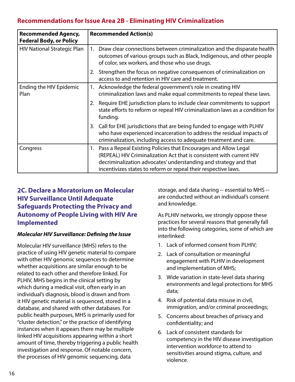#### **Recommendations for Issue Area 2B - Eliminating HIV Criminalization**

| <b>Recommended Agency,</b><br><b>Federal Body, or Policy</b> | <b>Recommended Action(s)</b>                                                                                                                                                                                                                                                     |  |  |
|--------------------------------------------------------------|----------------------------------------------------------------------------------------------------------------------------------------------------------------------------------------------------------------------------------------------------------------------------------|--|--|
| <b>HIV National Strategic Plan</b>                           | 1. Draw clear connections between criminalization and the disparate health<br>outcomes of various groups such as Black, Indigenous, and other people<br>of color, sex workers, and those who use drugs.                                                                          |  |  |
|                                                              | 2. Strengthen the focus on negative consequences of criminalization on<br>access to and retention in HIV care and treatment.                                                                                                                                                     |  |  |
| Ending the HIV Epidemic<br>Plan                              | 1. Acknowledge the federal government's role in creating HIV<br>criminalization laws and make equal commitments to repeal these laws.                                                                                                                                            |  |  |
|                                                              | 2. Require EHE jurisdiction plans to include clear commitments to support<br>state efforts to reform or repeal HIV criminalization laws as a condition for<br>funding.                                                                                                           |  |  |
|                                                              | 3. Call for EHE jurisdictions that are being funded to engage with PLHIV<br>who have experienced incarceration to address the residual impacts of<br>criminalization, including access to adequate treatment and care.                                                           |  |  |
| Congress                                                     | 1. Pass a Repeal Existing Policies that Encourages and Allow Legal<br>(REPEAL) HIV Criminalization Act that is consistent with current HIV<br>decriminalization advocates' understanding and strategy and that<br>incentivizes states to reform or repeal their respective laws. |  |  |

#### **2C. Declare a Moratorium on Molecular HIV Surveillance Until Adequate Safeguards Protecting the Privacy and Autonomy of People Living with HIV Are Implemented**

#### *Molecular HIV Surveillance: Defining the Issue*

Molecular HIV surveillance (MHS) refers to the practice of using HIV genetic material to compare with other HIV genomic sequences to determine whether acquisitions are similar enough to be related to each other and therefore linked. For PLHIV, MHS begins in the clinical setting by which during a medical visit, often early in an individual's diagnosis, blood is drawn and from it HIV genetic material is sequenced, stored in a database, and shared with other databases. For public health purposes, MHS is primarily used for "cluster detection," or the practice of identifying instances when it appears there may be multiple linked HIV acquisitions appearing within a short amount of time, thereby triggering a public health investigation and response. Of notable concern, the processes of HIV genomic sequencing, data

storage, and data sharing -- essential to MHS - are conducted without an individual's consent and knowledge.

As PLHIV networks, we strongly oppose these practices for several reasons that generally fall into the following categories, some of which are interlinked:

- 1. Lack of informed consent from PLHIV;
- 2. Lack of consultation or meaningful engagement with PLHIV in development and implementation of MHS;
- 3. Wide variation in state-level data sharing environments and legal protections for MHS data;
- 4. Risk of potential data misuse in civil, immigration, and/or criminal proceedings;
- 5. Concerns about breaches of privacy and confidentiality; and
- 6. Lack of consistent standards for competency in the HIV disease investigation intervention workforce to attend to sensitivities around stigma, culture, and violence.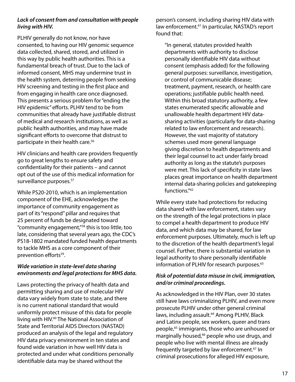#### *Lack of consent from and consultation with people living with HIV.*

PLHIV generally do not know, nor have consented, to having our HIV genomic sequence data collected, shared, stored, and utilized in this way by public health authorities. This is a fundamental breach of trust. Due to the lack of informed consent, MHS may undermine trust in the health system, deterring people from seeking HIV screening and testing in the first place and from engaging in health care once diagnosed. This presents a serious problem for "ending the HIV epidemic" efforts. PLHIV tend to be from communities that already have justifiable distrust of medical and research institutions, as well as public health authorities, and may have made significant efforts to overcome that distrust to participate in their health care.56

HIV clinicians and health care providers frequently go to great lengths to ensure safety and confidentiality for their patients – and cannot opt out of the use of this medical information for surveillance purposes.<sup>57</sup>

While PS20-2010, which is an implementation component of the EHE, acknowledges the importance of community engagement as part of its "respond" pillar and requires that 25 percent of funds be designated toward "community engagement,"58 this is too little, too late, considering that several years ago, the CDC's PS18-1802 mandated funded health departments to tackle MHS as a core component of their prevention efforts<sup>59</sup>.

#### *Wide variation in state-level data sharing environments and legal protections for MHS data.*

Laws protecting the privacy of health data and permitting sharing and use of molecular HIV data vary widely from state to state, and there is no current national standard that would uniformly protect misuse of this data for people living with HIV.<sup>60</sup> The National Association of State and Territorial AIDS Directors (NASTAD) produced an analysis of the legal and regulatory HIV data privacy environment in ten states and found wide variation in how well HIV data is protected and under what conditions personally identifiable data may be shared without the

person's consent, including sharing HIV data with law enforcement.<sup>61</sup> In particular, NASTAD's report found that:

"In general, statutes provided health departments with authority to disclose personally identifiable HIV data without consent (emphasis added) for the following general purposes: surveillance, investigation, or control of communicable disease; treatment, payment, research, or health care operations; justifiable public health need. Within this broad statutory authority, a few states enumerated specific allowable and unallowable health department HIV datasharing activities (particularly for data-sharing related to law enforcement and research). However, the vast majority of statutory schemes used more general language giving discretion to health departments and their legal counsel to act under fairly broad authority as long as the statute's purposes were met. This lack of specificity in state laws places great importance on health department internal data-sharing policies and gatekeeping functions."62

While every state had protections for reducing data shared with law enforcement, states vary on the strength of the legal protections in place to compel a health department to produce HIV data, and which data may be shared, for law enforcement purposes. Ultimately, much is left up to the discretion of the health department's legal counsel. Further, there is substantial variation in legal authority to share personally identifiable information of PLHIV for research purposes.<sup>63</sup>

#### *Risk of potential data misuse in civil, immigration, and/or criminal proceedings.*

As acknowledged in the HIV Plan, over 30 states still have laws criminalizing PLHIV, and even more prosecute PLHIV under other general criminal laws, including assault.<sup>64</sup> Among PLHIV, Black and Latinx people, sex workers, queer and trans people,<sup>65</sup> immigrants, those who are unhoused or marginally housed,<sup>66</sup> people who use drugs, and people who live with mental illness are already frequently targeted by law enforcement.<sup>67</sup> In criminal prosecutions for alleged HIV exposure,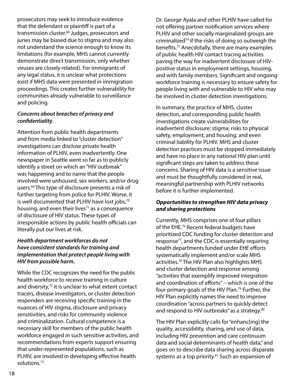prosecutors may seek to introduce evidence that the defendant or plaintiff is part of a transmission cluster.68 Judges, prosecutors and juries may be biased due to stigma and may also not understand the science enough to know its limitations (for example, MHS cannot currently demonstrate direct transmission, only whether viruses are closely related). For immigrants of any legal status, it is unclear what protections exist if MHS data were presented in immigration proceedings. This creates further vulnerability for communities already vulnerable to surveillance and policing.

#### *Concerns about breaches of privacy and confidentiality*.

Attention from public health departments and from media linked to "cluster detection" investigations can disclose private health information of PLHIV, even inadvertently. One newspaper in Seattle went so far as to publicly identify a street on which an "HIV outbreak" was happening and to name that the people involved were unhoused, sex workers, and/or drug users.69 This type of disclosure presents a risk of further targeting from police for PLHIV. Worse, it is well documented that PLHIV have lost jobs,70 housing, and even their lives $71$  as a consequence of disclosure of HIV status. These types of irresponsible actions by public health officials can literally put our lives at risk.

#### *Health department workforces do not have consistent standards for training and implementation that protect people living with HIV from possible harm.*

While the CDC recognizes the need for the public health workforce to receive training in culture and diversity, $72$  it is unclear to what extent contact tracers, disease investigators, or cluster detection responders are receiving specific training in the nuances of HIV stigma, disclosure and privacy sensitivities, and risks for community violence and criminalization. Cultural competence is a necessary skill for members of the public health workforce engaged in such sensitive activities, and recommendations from experts support ensuring that under-represented populations, such as PLHIV, are involved in developing effective health solutions.73

Dr. George Ayala and other PLHIV have called for not offering partner notification services where PLHIV and other socially marginalized groups are criminalized<sup>74</sup> if the risks of doing so outweigh the benefits.75 Anecdotally, there are many examples of public health HIV contact tracing activities paving the way for inadvertent disclosure of HIVpositive status in employment settings, housing, and with family members. Significant and ongoing workforce training is necessary to ensure safety for people living with and vulnerable to HIV who may be involved in cluster detection investigations.

In summary, the practice of MHS, cluster detection, and corresponding public health investigations create vulnerabilities for inadvertent disclosure; stigma; risks to physical safety, employment, and housing; and even criminal liability for PLHIV. MHS and cluster detection practices must be stopped immediately and have no place in any national HIV plan until significant steps are taken to address these concerns. Sharing of HIV data is a sensitive issue and must be thoughtfully considered in real, meaningful partnership with PLHIV networks before it is further implemented.

#### *Opportunities to strengthen HIV data privacy and sharing protections*

Currently, MHS comprises one of four pillars of the EHE.<sup>76</sup> Recent federal budgets have prioritized CDC funding for cluster detection and response $77$ , and the CDC is essentially requiring health departments funded under EHE efforts systematically implement and/or scale MHS activities.78 The HIV Plan also highlights MHS and cluster detection and response among "activities that exemplify improved integration and coordination of efforts" -- which is one of the four primary goals of the HIV Plan.<sup>79</sup> Further, the HIV Plan explicitly names the need to improve coordination "across partners to quickly detect and respond to HIV outbreaks" as a strategy.<sup>80</sup>

The HIV Plan explicitly calls for "enhanc[ing] the quality, accessibility, sharing, and use of data, including HIV prevention and care continuum data and social determinants of health data," and goes on to describe data sharing across disparate systems as a top priority.<sup>81</sup> Such an expansion of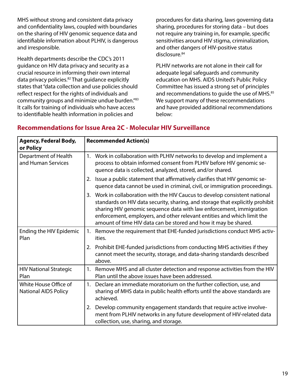MHS without strong and consistent data privacy and confidentiality laws, coupled with boundaries on the sharing of HIV genomic sequence data and identifiable information about PLHIV, is dangerous and irresponsible.

Health departments describe the CDC's 2011 guidance on HIV data privacy and security as a crucial resource in informing their own internal data privacy policies.<sup>82</sup> That guidance explicitly states that "data collection and use policies should reflect respect for the rights of individuals and community groups and minimize undue burden."83 It calls for training of individuals who have access to identifiable health information in policies and

procedures for data sharing, laws governing data sharing, procedures for storing data – but does not require any training in, for example, specific sensitivities around HIV stigma, criminalization, and other dangers of HIV-positive status disclosure.<sup>84</sup>

PLHIV networks are not alone in their call for adequate legal safeguards and community education on MHS. AIDS United's Public Policy Committee has issued a strong set of principles and recommendations to quide the use of MHS.<sup>85</sup> We support many of these recommendations and have provided additional recommendations below:

#### **Recommendations for Issue Area 2C - Molecular HIV Surveillance**

| <b>Agency, Federal Body,</b><br>or Policy            | <b>Recommended Action(s)</b>                                                                                                                                                                                                                                                                                                                                                         |  |  |
|------------------------------------------------------|--------------------------------------------------------------------------------------------------------------------------------------------------------------------------------------------------------------------------------------------------------------------------------------------------------------------------------------------------------------------------------------|--|--|
| Department of Health<br>and Human Services           | Work in collaboration with PLHIV networks to develop and implement a<br>1.<br>process to obtain informed consent from PLHIV before HIV genomic se-<br>quence data is collected, analyzed, stored, and/or shared.                                                                                                                                                                     |  |  |
|                                                      | Issue a public statement that affirmatively clarifies that HIV genomic se-<br>2.<br>quence data cannot be used in criminal, civil, or immigration proceedings.                                                                                                                                                                                                                       |  |  |
|                                                      | Work in collaboration with the HIV Caucus to develop consistent national<br>3.<br>standards on HIV data security, sharing, and storage that explicitly prohibit<br>sharing HIV genomic sequence data with law enforcement, immigration<br>enforcement, employers, and other relevant entities and which limit the<br>amount of time HIV data can be stored and how it may be shared. |  |  |
| Ending the HIV Epidemic<br>Plan                      | 1. Remove the requirement that EHE-funded jurisdictions conduct MHS activ-<br>ities.                                                                                                                                                                                                                                                                                                 |  |  |
|                                                      | Prohibit EHE-funded jurisdictions from conducting MHS activities if they<br>2.<br>cannot meet the security, storage, and data-sharing standards described<br>above.                                                                                                                                                                                                                  |  |  |
| <b>HIV National Strategic</b><br>Plan                | Remove MHS and all cluster detection and response activities from the HIV<br>1.<br>Plan until the above issues have been addressed.                                                                                                                                                                                                                                                  |  |  |
| White House Office of<br><b>National AIDS Policy</b> | Declare an immediate moratorium on the further collection, use, and<br>1.<br>sharing of MHS data in public health efforts until the above standards are<br>achieved.                                                                                                                                                                                                                 |  |  |
|                                                      | Develop community engagement standards that require active involve-<br>2.<br>ment from PLHIV networks in any future development of HIV-related data<br>collection, use, sharing, and storage.                                                                                                                                                                                        |  |  |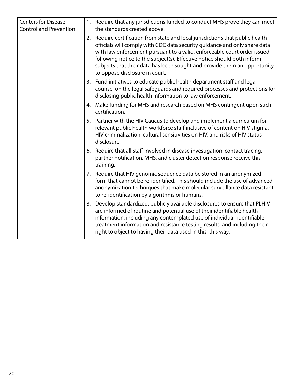| <b>Centers for Disease</b><br><b>Control and Prevention</b> |    | 1. Require that any jurisdictions funded to conduct MHS prove they can meet<br>the standards created above.                                                                                                                                                                                                                                                                                                                   |
|-------------------------------------------------------------|----|-------------------------------------------------------------------------------------------------------------------------------------------------------------------------------------------------------------------------------------------------------------------------------------------------------------------------------------------------------------------------------------------------------------------------------|
|                                                             | 2. | Require certification from state and local jurisdictions that public health<br>officials will comply with CDC data security guidance and only share data<br>with law enforcement pursuant to a valid, enforceable court order issued<br>following notice to the subject(s). Effective notice should both inform<br>subjects that their data has been sought and provide them an opportunity<br>to oppose disclosure in court. |
|                                                             |    | 3. Fund initiatives to educate public health department staff and legal<br>counsel on the legal safeguards and required processes and protections for<br>disclosing public health information to law enforcement.                                                                                                                                                                                                             |
|                                                             |    | 4. Make funding for MHS and research based on MHS contingent upon such<br>certification.                                                                                                                                                                                                                                                                                                                                      |
|                                                             |    | 5. Partner with the HIV Caucus to develop and implement a curriculum for<br>relevant public health workforce staff inclusive of content on HIV stigma,<br>HIV criminalization, cultural sensitivities on HIV, and risks of HIV status<br>disclosure.                                                                                                                                                                          |
|                                                             | 6. | Require that all staff involved in disease investigation, contact tracing,<br>partner notification, MHS, and cluster detection response receive this<br>training.                                                                                                                                                                                                                                                             |
|                                                             |    | 7. Require that HIV genomic sequence data be stored in an anonymized<br>form that cannot be re-identified. This should include the use of advanced<br>anonymization techniques that make molecular surveillance data resistant<br>to re-identification by algorithms or humans.                                                                                                                                               |
|                                                             | 8. | Develop standardized, publicly available disclosures to ensure that PLHIV<br>are informed of routine and potential use of their identifiable health<br>information, including any contemplated use of individual, identifiable<br>treatment information and resistance testing results, and including their<br>right to object to having their data used in this this way.                                                    |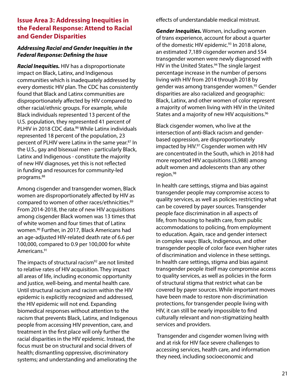#### **Issue Area 3: Addressing Inequities in the Federal Response: Attend to Racial and Gender Disparities**

#### *Addressing Racial and Gender Inequities in the Federal Response: Defining the Issue*

*Racial Inequities.* HIV has a disproportionate impact on Black, Latinx, and Indigenous communities which is inadequately addressed by every domestic HIV plan. The CDC has consistently found that Black and Latinx communities are disproportionately affected by HIV compared to other racial/ethnic groups. For example, while Black individuals represented 13 percent of the U.S. population, they represented 41 percent of PLHIV in 2018 CDC data.<sup>86</sup> While Latinx individuals represented 18 percent of the population, 23 percent of PLHIV were Latinx in the same year.<sup>87</sup> In the U.S., gay and bisexual men - particularly Black, Latinx and Indigenous - constitute the majority of new HIV diagnoses, yet this is not reflected in funding and resources for community-led programs.<sup>88</sup>

Among cisgender and transgender women, Black women are disproportionately affected by HIV as compared to women of other races/ethnicities.89 From 2014-2018, the rate of new HIV acquisitions among cisgender Black women was 13 times that of white women and four times that of Latinx women.90 Further, in 2017, Black Americans had an age-adjusted HIV-related death rate of 6.6 per 100,000, compared to 0.9 per 100,000 for white Americans.91

The impacts of structural racism $92$  are not limited to relative rates of HIV acquisition. They impact all areas of life, including economic opportunity and justice, well-being, and mental health care. Until structural racism and racism within the HIV epidemic is explicitly recognized and addressed, the HIV epidemic will not end. Expanding biomedical responses without attention to the racism that prevents Black, Latinx, and Indigenous people from accessing HIV prevention, care, and treatment in the first place will only further the racial disparities in the HIV epidemic. Instead, the focus must be on structural and social drivers of health; dismantling oppressive, discriminatory systems; and understanding and ameliorating the

effects of understandable medical mistrust.

*Gender Inequities.* Women, including women of trans experience, account for about a quarter of the domestic HIV epidemic.<sup>93</sup> In 2018 alone, an estimated 7,189 cisgender women and 554 transgender women were newly diagnosed with HIV in the United States.<sup>94</sup> The single largest percentage increase in the number of persons living with HIV from 2014 through 2018 by gender was among transgender women.<sup>95</sup> Gender disparities are also racialized and geographic: Black, Latinx, and other women of color represent a majority of women living with HIV in the United States and a majority of new HIV acquisitions.<sup>96</sup>

Black cisgender women, who live at the intersection of anti-Black racism and genderbased oppression, are disproportionately impacted by HIV.<sup>97</sup> Cisgender women with HIV are concentrated in the South, which in 2018 had more reported HIV acquisitions (3,988) among adult women and adolescents than any other region.98

In health care settings, stigma and bias against transgender people may compromise access to quality services, as well as policies restricting what can be covered by payer sources. Transgender people face discrimination in all aspects of life, from housing to health care, from public accommodations to policing, from employment to education. Again, race and gender intersect in complex ways: Black, Indigenous, and other transgender people of color face even higher rates of discrimination and violence in these settings. In health care settings, stigma and bias against transgender people itself may compromise access to quality services, as well as policies in the form of structural stigma that restrict what can be covered by payer sources. While important moves have been made to restore non-discrimination protections, for transgender people living with HIV, it can still be nearly impossible to find culturally relevant and non-stigmatizing health services and providers.

 Transgender and cisgender women living with and at risk for HIV face severe challenges to accessing services, health care, and information they need, including socioeconomic and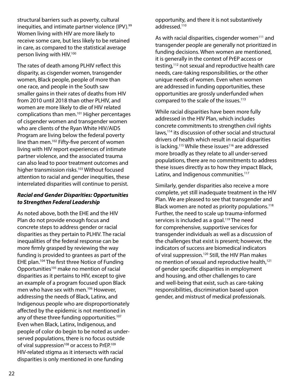structural barriers such as poverty, cultural inequities, and intimate partner violence (IPV).<sup>99</sup> Women living with HIV are more likely to receive some care, but less likely to be retained in care, as compared to the statistical average person living with HIV.100

The rates of death among PLHIV reflect this disparity, as cisgender women, transgender women, Black people, people of more than one race, and people in the South saw smaller gains in their rates of deaths from HIV from 2010 until 2018 than other PLHIV, and women are more likely to die of HIV related complications than men.101 Higher percentages of cisgender women and transgender women who are clients of the Ryan White HIV/AIDS Program are living below the federal poverty line than men.<sup>102</sup> Fifty-five percent of women living with HIV report experiences of intimate partner violence, and the associated trauma can also lead to poor treatment outcomes and higher transmission risks.<sup>103</sup> Without focused attention to racial and gender inequities, these interrelated disparities will continue to persist.

#### *Racial and Gender Disparities: Opportunities to Strengthen Federal Leadership*

As noted above, both the EHE and the HIV Plan do not provide enough focus and concrete steps to address gender or racial disparities as they pertain to PLHIV. The racial inequalities of the federal response can be more firmly grasped by reviewing the way funding is provided to grantees as part of the EHE plan.104 The first three Notice of Funding Opportunities<sup>105</sup> make no mention of racial disparities as it pertains to HIV, except to give an example of a program focused upon Black men who have sex with men.<sup>106</sup> However, addressing the needs of Black, Latinx, and Indigenous people who are disproportionately affected by the epidemic is not mentioned in any of these three funding opportunities.<sup>107</sup> Even when Black, Latinx, Indigenous, and people of color do begin to be noted as underserved populations, there is no focus outside of viral suppression<sup>108</sup> or access to PrEP.<sup>109</sup> HIV-related stigma as it intersects with racial disparities is only mentioned in one funding

opportunity, and there it is not substantively addressed.<sup>110</sup>

As with racial disparities, cisgender women $111$  and transgender people are generally not prioritized in funding decisions. When women are mentioned, it is generally in the context of PrEP access or testing,112 not sexual and reproductive health care needs, care-taking responsibilities, or the other unique needs of women. Even when women are addressed in funding opportunities, these opportunities are grossly underfunded when compared to the scale of the issues.<sup>113</sup>

While racial disparities have been more fully addressed in the HIV Plan, which includes concrete commitments to strengthen civil rights laws,<sup>114</sup> its discussion of other social and structural drivers of health which result in racial disparities is lacking.<sup>115</sup> While these issues<sup>116</sup> are addressed more broadly as they relate to all under-served populations, there are no commitments to address these issues directly as to how they impact Black, Latinx, and Indigenous communities.<sup>117</sup>

Similarly, gender disparities also receive a more complete, yet still inadequate treatment in the HIV Plan. We are pleased to see that transgender and Black women are noted as priority populations.<sup>118</sup> Further, the need to scale up trauma-informed services is included as a goal.<sup>119</sup> The need for comprehensive, supportive services for transgender individuals as well as a discussion of the challenges that exist is present; however, the indicators of success are biomedical indicators of viral suppression.<sup>120</sup> Still, the HIV Plan makes no mention of sexual and reproductive health,<sup>121</sup> of gender specific disparities in employment and housing, and other challenges to care and well-being that exist, such as care-taking responsibilities, discrimination based upon gender, and mistrust of medical professionals.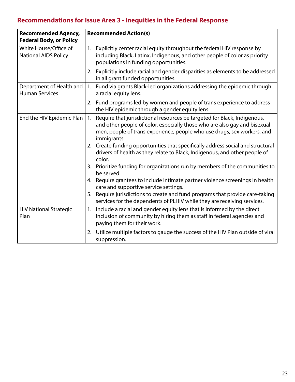# **Recommendations for Issue Area 3 - Inequities in the Federal Response**

| <b>Recommended Agency,</b><br><b>Federal Body, or Policy</b> |    | <b>Recommended Action(s)</b>                                                                                                                                                                                                                    |  |  |
|--------------------------------------------------------------|----|-------------------------------------------------------------------------------------------------------------------------------------------------------------------------------------------------------------------------------------------------|--|--|
| White House/Office of<br><b>National AIDS Policy</b>         | 1. | Explicitly center racial equity throughout the federal HIV response by<br>including Black, Latinx, Indigenous, and other people of color as priority<br>populations in funding opportunities.                                                   |  |  |
|                                                              | 2. | Explicitly include racial and gender disparities as elements to be addressed<br>in all grant funded opportunities.                                                                                                                              |  |  |
| Department of Health and<br><b>Human Services</b>            |    | 1. Fund via grants Black-led organizations addressing the epidemic through<br>a racial equity lens.                                                                                                                                             |  |  |
|                                                              |    | 2. Fund programs led by women and people of trans experience to address<br>the HIV epidemic through a gender equity lens.                                                                                                                       |  |  |
| End the HIV Epidemic Plan                                    | 1. | Require that jurisdictional resources be targeted for Black, Indigenous,<br>and other people of color, especially those who are also gay and bisexual<br>men, people of trans experience, people who use drugs, sex workers, and<br>immigrants. |  |  |
|                                                              |    | 2. Create funding opportunities that specifically address social and structural<br>drivers of health as they relate to Black, Indigenous, and other people of<br>color.                                                                         |  |  |
|                                                              |    | 3. Prioritize funding for organizations run by members of the communities to<br>be served.                                                                                                                                                      |  |  |
|                                                              |    | 4. Require grantees to include intimate partner violence screenings in health<br>care and supportive service settings.                                                                                                                          |  |  |
|                                                              |    | 5. Require jurisdictions to create and fund programs that provide care-taking<br>services for the dependents of PLHIV while they are receiving services.                                                                                        |  |  |
| <b>HIV National Strategic</b><br>Plan                        | 1. | Include a racial and gender equity lens that is informed by the direct<br>inclusion of community by hiring them as staff in federal agencies and<br>paying them for their work.                                                                 |  |  |
|                                                              | 2. | Utilize multiple factors to gauge the success of the HIV Plan outside of viral<br>suppression.                                                                                                                                                  |  |  |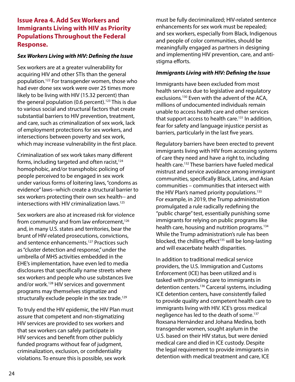#### **Issue Area 4. Add Sex Workers and Immigrants Living with HIV as Priority Populations Throughout the Federal Response.**

#### *Sex Workers Living with HIV: Defining the Issue*

Sex workers are at a greater vulnerability for acquiring HIV and other STIs than the general population.122 For transgender women, those who had ever done sex work were over 25 times more likely to be living with HIV (15.32 percent) than the general population (0.6 percent).<sup>123</sup> This is due to various social and structural factors that create substantial barriers to HIV prevention, treatment, and care, such as criminalization of sex work, lack of employment protections for sex workers, and intersections between poverty and sex work, which may increase vulnerability in the first place.

Criminalization of sex work takes many different forms, including targeted and often racist,<sup>124</sup> homophobic, and/or transphobic policing of people perceived to be engaged in sex work under various forms of loitering laws, "condoms as evidence" laws--which create a structural barrier to sex workers protecting their own sex health-- and intersections with HIV criminalization laws.125

Sex workers are also at increased risk for violence from community and from law enforcement,<sup>126</sup> and, in many U.S. states and territories, bear the brunt of HIV-related prosecutions, convictions, and sentence enhancements.<sup>127</sup> Practices such as "cluster detection and response," under the umbrella of MHS activities embedded in the EHE's implementation, have even led to media disclosures that specifically name streets where sex workers and people who use substances live and/or work.<sup>128</sup> HIV services and government programs may themselves stigmatize and structurally exclude people in the sex trade.<sup>129</sup>

To truly end the HIV epidemic, the HIV Plan must assure that competent and non-stigmatizing HIV services are provided to sex workers and that sex workers can safely participate in HIV services and benefit from other publicly funded programs without fear of judgment, criminalization, exclusion, or confidentiality violations. To ensure this is possible, sex work

must be fully decriminalized; HIV-related sentence enhancements for sex work must be repealed; and sex workers, especially from Black, Indigenous and people of color communities, should be meaningfully engaged as partners in designing and implementing HIV prevention, care, and antistigma efforts.

#### *Immigrants Living with HIV: Defining the Issue*

Immigrants have been excluded from most health services due to legislative and regulatory exclusions.130 Even with the advent of the ACA, millions of undocumented individuals remain unable to access health care and other services that support access to health care.<sup>131</sup> In addition, fear for safety and language injustice persist as barriers, particularly in the last five years.

Regulatory barriers have been erected to prevent immigrants living with HIV from accessing systems of care they need and have a right to, including health care.<sup>132</sup> These barriers have fueled medical mistrust and service avoidance among immigrant communities, specifically Black, Latinx, and Asian communities – communities that intersect with the HIV Plan's named priority populations.<sup>133</sup> For example, in 2019, the Trump administration promulgated a rule radically redefining the "public charge" test, essentially punishing some immigrants for relying on public programs like health care, housing and nutrition programs.<sup>134</sup> While the Trump administration's rule has been blocked, the chilling effect<sup>135</sup> will be long-lasting and will exacerbate health disparities.

In addition to traditional medical service providers, the U.S. Immigration and Customs Enforcement (ICE) has been utilized and is tasked with providing care to immigrants in detention centers.136 Carceral systems, including ICE detention centers, have consistently failed to provide quality and competent health care to immigrants living with HIV. ICE's gross medical negligence has led to the death of some.<sup>137</sup> Roxsana Hernández and Johana Medina, both transgender women, sought asylum in the U.S. based on their HIV status, but were denied medical care and died in ICE custody. Despite the legal requirement to provide immigrants in detention with medical treatment and care, ICE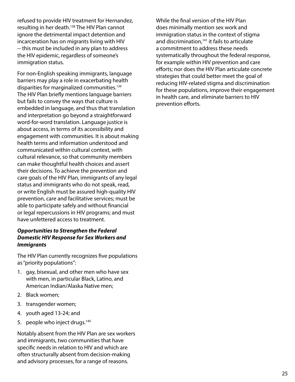refused to provide HIV treatment for Hernandez, resulting in her death.<sup>138</sup> The HIV Plan cannot ignore the detrimental impact detention and incarceration has on migrants living with HIV -- this must be included in any plan to address the HIV epidemic, regardless of someone's immigration status.

For non-English speaking immigrants, language barriers may play a role in exacerbating health disparities for marginalized communities.<sup>139</sup> The HIV Plan briefly mentions language barriers but fails to convey the ways that culture is embedded in language, and thus that translation and interpretation go beyond a straightforward word-for-word translation. Language justice is about access, in terms of its accessibility and engagement with communities. It is about making health terms and information understood and communicated within cultural context, with cultural relevance, so that community members can make thoughtful health choices and assert their decisions. To achieve the prevention and care goals of the HIV Plan, immigrants of any legal status and immigrants who do not speak, read, or write English must be assured high-quality HIV prevention, care and facilitative services; must be able to participate safely and without financial or legal repercussions in HIV programs; and must have unfettered access to treatment.

#### *Opportunities to Strengthen the Federal Domestic HIV Response for Sex Workers and Immigrants*

The HIV Plan currently recognizes five populations as "priority populations":

- 1. gay, bisexual, and other men who have sex with men, in particular Black, Latino, and American Indian/Alaska Native men;
- 2. Black women;
- 3. transgender women;
- 4. youth aged 13-24; and
- 5. people who inject drugs.<sup>140</sup>

Notably absent from the HIV Plan are sex workers and immigrants, two communities that have specific needs in relation to HIV and which are often structurally absent from decision-making and advisory processes, for a range of reasons.

While the final version of the HIV Plan does minimally mention sex work and immigration status in the context of stigma and discrimination,<sup>141</sup> it fails to articulate a commitment to address these needs systematically throughout the federal response, for example within HIV prevention and care efforts; nor does the HIV Plan articulate concrete strategies that could better meet the goal of reducing HIV-related stigma and discrimination for these populations, improve their engagement in health care, and eliminate barriers to HIV prevention efforts.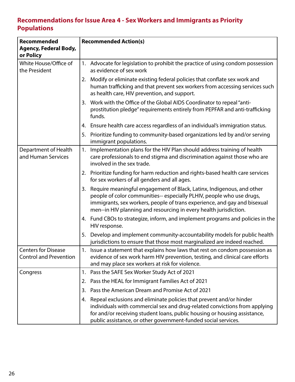### **Recommendations for Issue Area 4 - Sex Workers and Immigrants as Priority Populations**

| <b>Recommended</b>                                          | <b>Recommended Action(s)</b>                                                                                                                                                                                                                                                                           |  |  |  |
|-------------------------------------------------------------|--------------------------------------------------------------------------------------------------------------------------------------------------------------------------------------------------------------------------------------------------------------------------------------------------------|--|--|--|
| <b>Agency, Federal Body,</b><br>or Policy                   |                                                                                                                                                                                                                                                                                                        |  |  |  |
| White House/Office of<br>the President                      | 1. Advocate for legislation to prohibit the practice of using condom possession<br>as evidence of sex work                                                                                                                                                                                             |  |  |  |
|                                                             | 2. Modify or eliminate existing federal policies that conflate sex work and<br>human trafficking and that prevent sex workers from accessing services such<br>as health care, HIV prevention, and support.                                                                                             |  |  |  |
|                                                             | 3. Work with the Office of the Global AIDS Coordinator to repeal "anti-<br>prostitution pledge" requirements entirely from PEPFAR and anti-trafficking<br>funds.                                                                                                                                       |  |  |  |
|                                                             | 4. Ensure health care access regardless of an individual's immigration status.                                                                                                                                                                                                                         |  |  |  |
|                                                             | 5. Prioritize funding to community-based organizations led by and/or serving<br>immigrant populations.                                                                                                                                                                                                 |  |  |  |
| Department of Health<br>and Human Services                  | Implementation plans for the HIV Plan should address training of health<br>1.<br>care professionals to end stigma and discrimination against those who are<br>involved in the sex trade.                                                                                                               |  |  |  |
|                                                             | 2. Prioritize funding for harm reduction and rights-based health care services<br>for sex workers of all genders and all ages.                                                                                                                                                                         |  |  |  |
|                                                             | Require meaningful engagement of Black, Latinx, Indigenous, and other<br>3.<br>people of color communities-- especially PLHIV, people who use drugs,<br>immigrants, sex workers, people of trans experience, and gay and bisexual<br>men--in HIV planning and resourcing in every health jurisdiction. |  |  |  |
|                                                             | 4. Fund CBOs to strategize, inform, and implement programs and policies in the<br>HIV response.                                                                                                                                                                                                        |  |  |  |
|                                                             | Develop and implement community-accountability models for public health<br>5.<br>jurisdictions to ensure that those most marginalized are indeed reached.                                                                                                                                              |  |  |  |
| <b>Centers for Disease</b><br><b>Control and Prevention</b> | 1. Issue a statement that explains how laws that rest on condom possession as<br>evidence of sex work harm HIV prevention, testing, and clinical care efforts<br>and may place sex workers at risk for violence.                                                                                       |  |  |  |
| Congress                                                    | Pass the SAFE Sex Worker Study Act of 2021<br>1.                                                                                                                                                                                                                                                       |  |  |  |
|                                                             | Pass the HEAL for Immigrant Families Act of 2021<br>2.                                                                                                                                                                                                                                                 |  |  |  |
|                                                             | Pass the American Dream and Promise Act of 2021<br>3.                                                                                                                                                                                                                                                  |  |  |  |
|                                                             | 4. Repeal exclusions and eliminate policies that prevent and/or hinder<br>individuals with commercial sex and drug-related convictions from applying<br>for and/or receiving student loans, public housing or housing assistance,<br>public assistance, or other government-funded social services.    |  |  |  |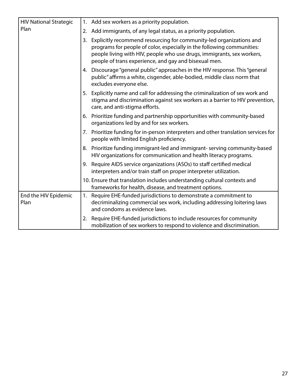| <b>HIV National Strategic</b> |    | 1. Add sex workers as a priority population.                                                                                                                                                                                                                                     |
|-------------------------------|----|----------------------------------------------------------------------------------------------------------------------------------------------------------------------------------------------------------------------------------------------------------------------------------|
| Plan                          | 2. | Add immigrants, of any legal status, as a priority population.                                                                                                                                                                                                                   |
|                               | 3. | Explicitly recommend resourcing for community-led organizations and<br>programs for people of color, especially in the following communities:<br>people living with HIV, people who use drugs, immigrants, sex workers,<br>people of trans experience, and gay and bisexual men. |
|                               |    | 4. Discourage "general public" approaches in the HIV response. This "general<br>public" affirms a white, cisgender, able-bodied, middle class norm that<br>excludes everyone else.                                                                                               |
|                               | 5. | Explicitly name and call for addressing the criminalization of sex work and<br>stigma and discrimination against sex workers as a barrier to HIV prevention,<br>care, and anti-stigma efforts.                                                                                   |
|                               |    | 6. Prioritize funding and partnership opportunities with community-based<br>organizations led by and for sex workers.                                                                                                                                                            |
|                               |    | 7. Prioritize funding for in-person interpreters and other translation services for<br>people with limited English proficiency.                                                                                                                                                  |
|                               |    | 8. Prioritize funding immigrant-led and immigrant-serving community-based<br>HIV organizations for communication and health literacy programs.                                                                                                                                   |
|                               |    | 9. Require AIDS service organizations (ASOs) to staff certified medical<br>interpreters and/or train staff on proper interpreter utilization.                                                                                                                                    |
|                               |    | 10. Ensure that translation includes understanding cultural contexts and<br>frameworks for health, disease, and treatment options.                                                                                                                                               |
| End the HIV Epidemic<br>Plan  | 1. | Require EHE-funded jurisdictions to demonstrate a commitment to<br>decriminalizing commercial sex work, including addressing loitering laws<br>and condoms as evidence laws.                                                                                                     |
|                               | 2. | Require EHE-funded jurisdictions to include resources for community<br>mobilization of sex workers to respond to violence and discrimination.                                                                                                                                    |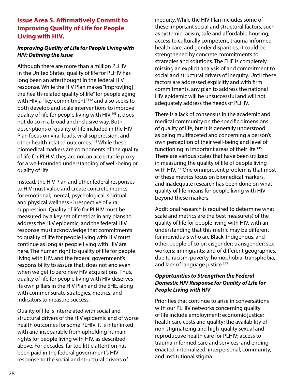#### **Issue Area 5. Affirmatively Commit to Improving Quality of Life for People Living with HIV.**

#### *Improving Quality of Life for People Living with HIV: Defining the Issue*

Although there are more than a million PLHIV in the United States, quality of life for PLHIV has long been an afterthought in the federal HIV response. While the HIV Plan makes "improv[ing] the health-related quality of life" for people aging with HIV a "key commitment"<sup>142</sup> and also seeks to both develop and scale interventions to improve quality of life for people living with HIV,<sup>143</sup> it does not do so in a broad and inclusive way. Both descriptions of quality of life included in the HIV Plan focus on viral loads, viral suppression, and other health-related outcomes.144 While these biomedical markers are components of the quality of life for PLHIV, they are not an acceptable proxy for a well-rounded understanding of well-being or quality of life.

Instead, the HIV Plan and other federal responses to HIV must value and create concrete metrics for emotional, mental, psychological, spiritual, and physical wellness - irrespective of viral suppression. Quality of life for PLHIV must be measured by a key set of metrics in any plans to address the HIV epidemic, and the federal HIV response must acknowledge that commitments to quality of life for people living with HIV must continue as long as people living with HIV are here. The human right to quality of life for people living with HIV, and the federal government's responsibility to assure that, does not end even when we get to zero new HIV acquisitions. Thus, quality of life for people living with HIV deserves its own pillars in the HIV Plan and the EHE, along with commensurate strategies, metrics, and indicators to measure success.

Quality of life is interrelated with social and structural drivers of the HIV epidemic and of worse health outcomes for some PLHIV. It is interlinked with and inseparable from upholding human rights for people living with HIV, as described above. For decades, far too little attention has been paid in the federal government's HIV response to the social and structural drivers of

inequity. While the HIV Plan includes some of these important social and structural factors, such as systemic racism, safe and affordable housing, access to culturally competent, trauma-informed health care, and gender disparities, it could be strengthened by concrete commitments to strategies and solutions. The EHE is completely missing an explicit analysis of and commitment to social and structural drivers of inequity. Until these factors are addressed explicitly and with firm commitments, any plan to address the national HIV epidemic will be unsuccessful and will not adequately address the needs of PLHIV.

There is a lack of consensus in the academic and medical community on the specific dimensions of quality of life, but it is generally understood as being multifaceted and concerning a person's own perception of their well-being and level of functioning in important areas of their life.<sup>145</sup> There are various scales that have been utilized in measuring the quality of life of people living with HIV.<sup>146</sup> One omnipresent problem is that most of these metrics focus on biomedical markers, and inadequate research has been done on what quality of life means for people living with HIV beyond these markers.

Additional research is required to determine what scale and metrics are the best measure(s) of the quality of life for people living with HIV, with an understanding that this metric may be different for individuals who are Black, Indigenous, and other people of color; cisgender; transgender; sex workers; immigrants; and of different geographies, due to racism, poverty, homophobia, transphobia, and lack of language justice.<sup>147</sup>

#### *Opportunities to Strengthen the Federal Domestic HIV Response for Quality of Life for People Living with HIV*

Priorities that continue to arise in conversations with our PLHIV networks concerning quality of life include employment; economic justice; health care costs and quality; the availability of non-stigmatizing and high-quality sexual and reproductive health care for PLHIV; access to trauma-informed care and services; and ending enacted, internalized, interpersonal, community, and institutional stigma.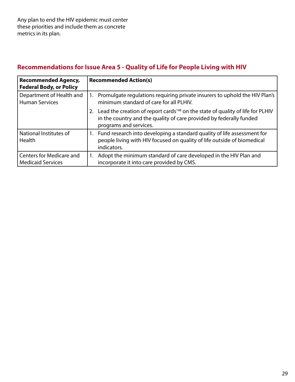### **Recommendations for Issue Area 5 - Quality of Life for People Living with HIV**

| <b>Recommended Agency,</b><br><b>Federal Body, or Policy</b> | <b>Recommended Action(s)</b>                                                                                                                                                                      |  |  |
|--------------------------------------------------------------|---------------------------------------------------------------------------------------------------------------------------------------------------------------------------------------------------|--|--|
| Department of Health and<br><b>Human Services</b>            | 1. Promulgate regulations requiring private insurers to uphold the HIV Plan's<br>minimum standard of care for all PLHIV.                                                                          |  |  |
|                                                              | Lead the creation of report cards <sup>148</sup> on the state of quality of life for PLHIV<br>2.<br>in the country and the quality of care provided by federally funded<br>programs and services. |  |  |
| National Institutes of<br><b>Health</b>                      | 1. Fund research into developing a standard quality of life assessment for<br>people living with HIV focused on quality of life outside of biomedical<br>indicators.                              |  |  |
| Centers for Medicare and<br><b>Medicaid Services</b>         | Adopt the minimum standard of care developed in the HIV Plan and<br>1.<br>incorporate it into care provided by CMS.                                                                               |  |  |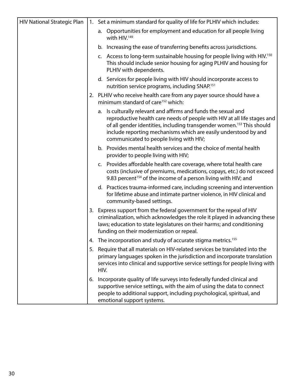| <b>HIV National Strategic Plan</b> |    | 1. Set a minimum standard for quality of life for PLHIV which includes:                                                                                                                                                                                                                                                                       |
|------------------------------------|----|-----------------------------------------------------------------------------------------------------------------------------------------------------------------------------------------------------------------------------------------------------------------------------------------------------------------------------------------------|
|                                    |    | a. Opportunities for employment and education for all people living<br>with HIV. <sup>149</sup>                                                                                                                                                                                                                                               |
|                                    |    | b. Increasing the ease of transferring benefits across jurisdictions.                                                                                                                                                                                                                                                                         |
|                                    |    | c. Access to long-term sustainable housing for people living with HIV. <sup>150</sup><br>This should include senior housing for aging PLHIV and housing for<br>PLHIV with dependents.                                                                                                                                                         |
|                                    |    | d. Services for people living with HIV should incorporate access to<br>nutrition service programs, including SNAP. <sup>151</sup>                                                                                                                                                                                                             |
|                                    |    | 2. PLHIV who receive health care from any payer source should have a<br>minimum standard of care <sup>152</sup> which:                                                                                                                                                                                                                        |
|                                    |    | a. Is culturally relevant and affirms and funds the sexual and<br>reproductive health care needs of people with HIV at all life stages and<br>of all gender identities, including transgender women. <sup>153</sup> This should<br>include reporting mechanisms which are easily understood by and<br>communicated to people living with HIV; |
|                                    |    | b. Provides mental health services and the choice of mental health<br>provider to people living with HIV;                                                                                                                                                                                                                                     |
|                                    |    | c. Provides affordable health care coverage, where total health care<br>costs (inclusive of premiums, medications, copays, etc.) do not exceed<br>9.83 percent <sup>154</sup> of the income of a person living with HIV; and                                                                                                                  |
|                                    |    | d. Practices trauma-informed care, including screening and intervention<br>for lifetime abuse and intimate partner violence, in HIV clinical and<br>community-based settings.                                                                                                                                                                 |
|                                    |    | 3. Express support from the federal government for the repeal of HIV<br>criminalization, which acknowledges the role it played in advancing these<br>laws; education to state legislatures on their harms; and conditioning<br>funding on their modernization or repeal.                                                                      |
|                                    | 4. | The incorporation and study of accurate stigma metrics. <sup>155</sup>                                                                                                                                                                                                                                                                        |
|                                    | 5. | Require that all materials on HIV-related services be translated into the<br>primary languages spoken in the jurisdiction and incorporate translation<br>services into clinical and supportive service settings for people living with<br>HIV.                                                                                                |
|                                    | 6. | Incorporate quality of life surveys into federally funded clinical and<br>supportive service settings, with the aim of using the data to connect<br>people to additional support, including psychological, spiritual, and<br>emotional support systems.                                                                                       |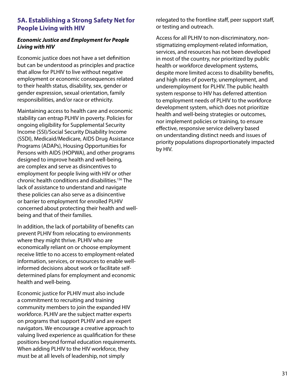#### **5A. Establishing a Strong Safety Net for People Living with HIV**

#### *Economic Justice and Employment for People Living with HIV*

Economic justice does not have a set definition but can be understood as principles and practice that allow for PLHIV to live without negative employment or economic consequences related to their health status, disability, sex, gender or gender expression, sexual orientation, family responsibilities, and/or race or ethnicity.

Maintaining access to health care and economic stability can entrap PLHIV in poverty. Policies for ongoing eligibility for Supplemental Security Income (SSI)/Social Security Disability Income (SSDI), Medicaid/Medicare, AIDS Drug Assistance Programs (ADAPs), Housing Opportunities for Persons with AIDS (HOPWA), and other programs designed to improve health and well-being, are complex and serve as disincentives to employment for people living with HIV or other chronic health conditions and disabilities.156 The lack of assistance to understand and navigate these policies can also serve as a disincentive or barrier to employment for enrolled PLHIV concerned about protecting their health and wellbeing and that of their families.

In addition, the lack of portability of benefits can prevent PLHIV from relocating to environments where they might thrive. PLHIV who are economically reliant on or choose employment receive little to no access to employment-related information, services, or resources to enable wellinformed decisions about work or facilitate selfdetermined plans for employment and economic health and well-being.

Economic justice for PLHIV must also include a commitment to recruiting and training community members to join the expanded HIV workforce. PLHIV are the subject matter experts on programs that support PLHIV and are expert navigators. We encourage a creative approach to valuing lived experience as qualification for these positions beyond formal education requirements. When adding PLHIV to the HIV workforce, they must be at all levels of leadership, not simply

relegated to the frontline staff, peer support staff, or testing and outreach.

Access for all PLHIV to non-discriminatory, nonstigmatizing employment-related information, services, and resources has not been developed in most of the country, nor prioritized by public health or workforce development systems, despite more limited access to disability benefits, and high rates of poverty, unemployment, and underemployment for PLHIV. The public health system response to HIV has deferred attention to employment needs of PLHIV to the workforce development system, which does not prioritize health and well-being strategies or outcomes, nor implement policies or training, to ensure effective, responsive service delivery based on understanding distinct needs and issues of priority populations disproportionately impacted by HIV.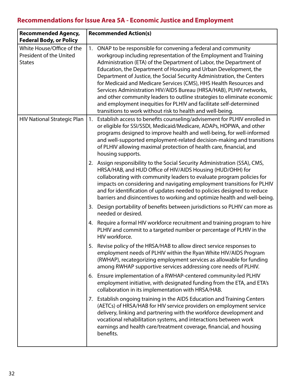## **Recommendations for Issue Area 5A - Economic Justice and Employment**

| <b>Recommended Agency,</b><br><b>Federal Body, or Policy</b>          | <b>Recommended Action(s)</b>                                                                                                                                                                                                                                                                                                                                                                                                                                                                                                                                                                                                                                                                                        |  |  |
|-----------------------------------------------------------------------|---------------------------------------------------------------------------------------------------------------------------------------------------------------------------------------------------------------------------------------------------------------------------------------------------------------------------------------------------------------------------------------------------------------------------------------------------------------------------------------------------------------------------------------------------------------------------------------------------------------------------------------------------------------------------------------------------------------------|--|--|
| White House/Office of the<br>President of the United<br><b>States</b> | 1. ONAP to be responsible for convening a federal and community<br>workgroup including representation of the Employment and Training<br>Administration (ETA) of the Department of Labor, the Department of<br>Education, the Department of Housing and Urban Development, the<br>Department of Justice, the Social Security Administration, the Centers<br>for Medicaid and Medicare Services (CMS), HHS Health Resources and<br>Services Administration HIV/AIDS Bureau (HRSA/HAB), PLHIV networks,<br>and other community leaders to outline strategies to eliminate economic<br>and employment inequities for PLHIV and facilitate self-determined<br>transitions to work without risk to health and well-being. |  |  |
| <b>HIV National Strategic Plan</b>                                    | Establish access to benefits counseling/advisement for PLHIV enrolled in<br>1.<br>or eligible for SSI/SSDI, Medicaid/Medicare, ADAPs, HOPWA, and other<br>programs designed to improve health and well-being, for well-informed<br>and well-supported employment-related decision-making and transitions<br>of PLHIV allowing maximal protection of health care, financial, and<br>housing supports.                                                                                                                                                                                                                                                                                                                |  |  |
|                                                                       | 2. Assign responsibility to the Social Security Administration (SSA), CMS,<br>HRSA/HAB, and HUD Office of HIV/AIDS Housing (HUD/OHH) for<br>collaborating with community leaders to evaluate program policies for<br>impacts on considering and navigating employment transitions for PLHIV<br>and for identification of updates needed to policies designed to reduce<br>barriers and disincentives to working and optimize health and well-being.                                                                                                                                                                                                                                                                 |  |  |
|                                                                       | 3. Design portability of benefits between jurisdictions so PLHIV can more as<br>needed or desired.                                                                                                                                                                                                                                                                                                                                                                                                                                                                                                                                                                                                                  |  |  |
|                                                                       | 4. Require a formal HIV workforce recruitment and training program to hire<br>PLHIV and commit to a targeted number or percentage of PLHIV in the<br>HIV workforce.                                                                                                                                                                                                                                                                                                                                                                                                                                                                                                                                                 |  |  |
|                                                                       | 5. Revise policy of the HRSA/HAB to allow direct service responses to<br>employment needs of PLHIV within the Ryan White HIV/AIDS Program<br>(RWHAP), recategorizing employment services as allowable for funding<br>among RWHAP supportive services addressing core needs of PLHIV.                                                                                                                                                                                                                                                                                                                                                                                                                                |  |  |
|                                                                       | Ensure implementation of a RWHAP-centered community-led PLHIV<br>6.<br>employment initiative, with designated funding from the ETA, and ETA's<br>collaboration in its implementation with HRSA/HAB.                                                                                                                                                                                                                                                                                                                                                                                                                                                                                                                 |  |  |
|                                                                       | 7. Establish ongoing training in the AIDS Education and Training Centers<br>(AETCs) of HRSA/HAB for HIV service providers on employment service<br>delivery, linking and partnering with the workforce development and<br>vocational rehabilitation systems, and interactions between work<br>earnings and health care/treatment coverage, financial, and housing<br>benefits.                                                                                                                                                                                                                                                                                                                                      |  |  |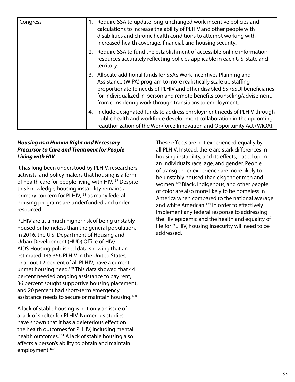| Congress |    | 1. Require SSA to update long-unchanged work incentive policies and<br>calculations to increase the ability of PLHIV and other people with<br>disabilities and chronic health conditions to attempt working with<br>increased health coverage, financial, and housing security.                                                                              |
|----------|----|--------------------------------------------------------------------------------------------------------------------------------------------------------------------------------------------------------------------------------------------------------------------------------------------------------------------------------------------------------------|
|          |    | 2. Require SSA to fund the establishment of accessible online information<br>resources accurately reflecting policies applicable in each U.S. state and<br>territory.                                                                                                                                                                                        |
|          |    | 3. Allocate additional funds for SSA's Work Incentives Planning and<br>Assistance (WIPA) program to more realistically scale up staffing<br>proportionate to needs of PLHIV and other disabled SSI/SSDI beneficiaries<br>for individualized in-person and remote benefits counseling/advisement,<br>from considering work through transitions to employment. |
|          | 4. | Include designated funds to address employment needs of PLHIV through<br>public health and workforce development collaboration in the upcoming<br>reauthorization of the Workforce Innovation and Opportunity Act (WIOA).                                                                                                                                    |

#### *Housing as a Human Right and Necessary Precursor to Care and Treatment for People Living with HIV*

It has long been understood by PLHIV, researchers, activists, and policy makers that housing is a form of health care for people living with HIV.<sup>157</sup> Despite this knowledge, housing instability remains a primary concern for PLHIV,<sup>158</sup> as many federal housing programs are underfunded and underresourced.

PLHIV are at a much higher risk of being unstably housed or homeless than the general population. In 2016, the U.S. Department of Housing and Urban Development (HUD) Office of HIV/ AIDS Housing published data showing that an estimated 145,366 PLHIV in the United States, or about 12 percent of all PLHIV, have a current unmet housing need.159 This data showed that 44 percent needed ongoing assistance to pay rent, 36 percent sought supportive housing placement, and 20 percent had short-term emergency assistance needs to secure or maintain housing.<sup>160</sup>

A lack of stable housing is not only an issue of a lack of shelter for PLHIV. Numerous studies have shown that it has a deleterious effect on the health outcomes for PLHIV, including mental health outcomes.<sup>161</sup> A lack of stable housing also affects a person's ability to obtain and maintain employment.<sup>162</sup>

These effects are not experienced equally by all PLHIV. Instead, there are stark differences in housing instability, and its effects, based upon an individual's race, age, and gender. People of transgender experience are more likely to be unstably housed than cisgender men and women.163 Black, Indigenous, and other people of color are also more likely to be homeless in America when compared to the national average and white American.<sup>164</sup> In order to effectively implement any federal response to addressing the HIV epidemic and the health and equality of life for PLHIV, housing insecurity will need to be addressed.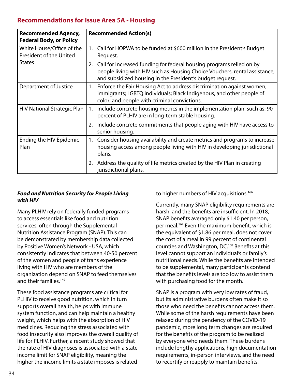#### **Recommendations for Issue Area 5A - Housing**

| <b>Recommended Agency,</b><br><b>Federal Body, or Policy</b> | <b>Recommended Action(s)</b>                                                                                                                                                                                          |
|--------------------------------------------------------------|-----------------------------------------------------------------------------------------------------------------------------------------------------------------------------------------------------------------------|
| White House/Office of the<br>President of the United         | Call for HOPWA to be funded at \$600 million in the President's Budget<br>$1_{\cdot}$<br>Request.                                                                                                                     |
| <b>States</b>                                                | Call for Increased funding for federal housing programs relied on by<br>2.<br>people living with HIV such as Housing Choice Vouchers, rental assistance,<br>and subsidized housing in the President's budget request. |
| Department of Justice                                        | Enforce the Fair Housing Act to address discrimination against women;<br>1.<br>immigrants; LGBTQ individuals; Black Indigenous, and other people of<br>color; and people with criminal convictions.                   |
| <b>HIV National Strategic Plan</b>                           | Include concrete housing metrics in the implementation plan, such as: 90<br>1.<br>percent of PLHIV are in long-term stable housing.                                                                                   |
|                                                              | 2. Include concrete commitments that people aging with HIV have access to<br>senior housing.                                                                                                                          |
| Ending the HIV Epidemic<br>Plan                              | Consider housing availability and create metrics and programs to increase<br>1.<br>housing access among people living with HIV in developing jurisdictional<br>plans.                                                 |
|                                                              | Address the quality of life metrics created by the HIV Plan in creating<br>2.<br>jurisdictional plans.                                                                                                                |

#### *Food and Nutrition Security for People Living with HIV*

Many PLHIV rely on federally funded programs to access essentials like food and nutrition services, often through the Supplemental Nutrition Assistance Program (SNAP). This can be demonstrated by membership data collected by Positive Women's Network - USA, which consistently indicates that between 40-50 percent of the women and people of trans experience living with HIV who are members of the organization depend on SNAP to feed themselves and their families.<sup>165</sup>

These food assistance programs are critical for PLHIV to receive good nutrition, which in turn supports overall health, helps with immune system function, and can help maintain a healthy weight, which helps with the absorption of HIV medicines. Reducing the stress associated with food insecurity also improves the overall quality of life for PLHIV. Further, a recent study showed that the rate of HIV diagnoses is associated with a state income limit for SNAP eligibility, meaning the higher the income limits a state imposes is related

to higher numbers of HIV acquisitions.<sup>166</sup>

Currently, many SNAP eligibility requirements are harsh, and the benefits are insufficient. In 2018, SNAP benefits averaged only \$1.40 per person, per meal.167 Even the maximum benefit, which is the equivalent of \$1.86 per meal, does not cover the cost of a meal in 99 percent of continental counties and Washington, DC.168 Benefits at this level cannot support an individual's or family's nutritional needs. While the benefits are intended to be supplemental, many participants contend that the benefits levels are too low to assist them with purchasing food for the month.

SNAP is a program with very low rates of fraud, but its administrative burdens often make it so those who need the benefits cannot access them. While some of the harsh requirements have been relaxed during the pendency of the COVID-19 pandemic, more long term changes are required for the benefits of the program to be realized by everyone who needs them. These burdens include lengthy applications, high documentation requirements, in-person interviews, and the need to recertify or reapply to maintain benefits.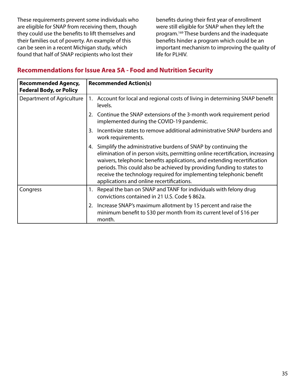These requirements prevent some individuals who are eligible for SNAP from receiving them, though they could use the benefits to lift themselves and their families out of poverty. An example of this can be seen in a recent Michigan study, which found that half of SNAP recipients who lost their

benefits during their first year of enrollment were still eligible for SNAP when they left the program.169 These burdens and the inadequate benefits hinder a program which could be an important mechanism to improving the quality of life for PLHIV.

#### **Recommendations for Issue Area 5A - Food and Nutrition Security**

| <b>Recommended Agency,</b><br><b>Federal Body, or Policy</b> | <b>Recommended Action(s)</b>                                                                                                                                                                                                                                                                                                                                                                                                    |  |
|--------------------------------------------------------------|---------------------------------------------------------------------------------------------------------------------------------------------------------------------------------------------------------------------------------------------------------------------------------------------------------------------------------------------------------------------------------------------------------------------------------|--|
| Department of Agriculture                                    | Account for local and regional costs of living in determining SNAP benefit<br>1.<br>levels.                                                                                                                                                                                                                                                                                                                                     |  |
|                                                              | 2. Continue the SNAP extensions of the 3-month work requirement period<br>implemented during the COVID-19 pandemic.                                                                                                                                                                                                                                                                                                             |  |
|                                                              | Incentivize states to remove additional administrative SNAP burdens and<br>3.<br>work requirements.                                                                                                                                                                                                                                                                                                                             |  |
|                                                              | Simplify the administrative burdens of SNAP by continuing the<br>4.<br>elimination of in person visits, permitting online recertification, increasing<br>waivers, telephonic benefits applications, and extending recertification<br>periods. This could also be achieved by providing funding to states to<br>receive the technology required for implementing telephonic benefit<br>applications and online recertifications. |  |
| Congress                                                     | Repeal the ban on SNAP and TANF for individuals with felony drug<br>1.<br>convictions contained in 21 U.S. Code § 862a.                                                                                                                                                                                                                                                                                                         |  |
|                                                              | Increase SNAP's maximum allotment by 15 percent and raise the<br>2.<br>minimum benefit to \$30 per month from its current level of \$16 per<br>month.                                                                                                                                                                                                                                                                           |  |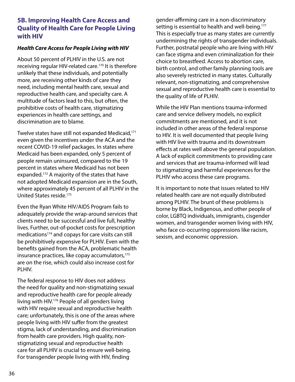#### **5B. Improving Health Care Access and Quality of Health Care for People Living with HIV**

#### *Health Care Access for People Living with HIV*

About 50 percent of PLHIV in the U.S. are not receiving regular HIV-related care.<sup>170</sup> It is therefore unlikely that these individuals, and potentially more, are receiving other kinds of care they need, including mental health care, sexual and reproductive health care, and specialty care. A multitude of factors lead to this, but often, the prohibitive costs of health care, stigmatizing experiences in health care settings, and discrimination are to blame.

Twelve states have still not expanded Medicaid,<sup>171</sup> even given the incentives under the ACA and the recent COVID-19 relief packages. In states where Medicaid has been expanded, only 5 percent of people remain uninsured, compared to the 19 percent in states where Medicaid has not been expanded.172 A majority of the states that have not adopted Medicaid expansion are in the South, where approximately 45 percent of all PLHIV in the United States reside.173

Even the Ryan White HIV/AIDS Program fails to adequately provide the wrap-around services that clients need to be successful and live full, healthy lives. Further, out-of-pocket costs for prescription medications<sup>174</sup> and copays for care visits can still be prohibitively expensive for PLHIV. Even with the benefits gained from the ACA, problematic health insurance practices, like copay accumulators,<sup>175</sup> are on the rise, which could also increase cost for PLHIV.

The federal response to HIV does not address the need for quality and non-stigmatizing sexual and reproductive health care for people already living with HIV.176 People of all genders living with HIV require sexual and reproductive health care; unfortunately, this is one of the areas where people living with HIV suffer from the greatest stigma, lack of understanding, and discrimination from health care providers. High quality, nonstigmatizing sexual and reproductive health care for all PLHIV is crucial to ensure well-being. For transgender people living with HIV, finding

gender-affirming care in a non-discriminatory setting is essential to health and well-being.<sup>177</sup> This is especially true as many states are currently undermining the rights of transgender individuals. Further, postnatal people who are living with HIV can face stigma and even criminalization for their choice to breastfeed. Access to abortion care, birth control, and other family planning tools are also severely restricted in many states. Culturally relevant, non-stigmatizing, and comprehensive sexual and reproductive health care is essential to the quality of life of PLHIV.

While the HIV Plan mentions trauma-informed care and service delivery models, no explicit commitments are mentioned, and it is not included in other areas of the federal response to HIV. It is well documented that people living with HIV live with trauma and its downstream effects at rates well above the general population. A lack of explicit commitments to providing care and services that are trauma-informed will lead to stigmatizing and harmful experiences for the PLHIV who access these care programs.

It is important to note that issues related to HIV related health care are not equally distributed among PLHIV. The brunt of these problems is borne by Black, Indigenous, and other people of color, LGBTQ individuals, immigrants, cisgender women, and transgender women living with HIV, who face co-occurring oppressions like racism, sexism, and economic oppression.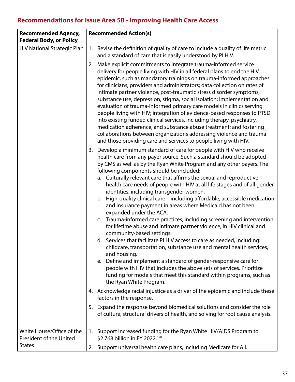# **Recommendations for Issue Area 5B - Improving Health Care Access**

| <b>Recommended Agency,</b><br><b>Federal Body, or Policy</b> | <b>Recommended Action(s)</b>                                                                                                                                                                                                                                                                                                                                                                                                                                                                                                                                                                                                                                                                                                                                                                                                                                                                                                                                                                                                                                                                                                                                                                                                                 |  |  |
|--------------------------------------------------------------|----------------------------------------------------------------------------------------------------------------------------------------------------------------------------------------------------------------------------------------------------------------------------------------------------------------------------------------------------------------------------------------------------------------------------------------------------------------------------------------------------------------------------------------------------------------------------------------------------------------------------------------------------------------------------------------------------------------------------------------------------------------------------------------------------------------------------------------------------------------------------------------------------------------------------------------------------------------------------------------------------------------------------------------------------------------------------------------------------------------------------------------------------------------------------------------------------------------------------------------------|--|--|
| <b>HIV National Strategic Plan</b>                           | 1. Revise the definition of quality of care to include a quality of life metric<br>and a standard of care that is easily understood by PLHIV.                                                                                                                                                                                                                                                                                                                                                                                                                                                                                                                                                                                                                                                                                                                                                                                                                                                                                                                                                                                                                                                                                                |  |  |
|                                                              | 2. Make explicit commitments to integrate trauma-informed service<br>delivery for people living with HIV in all federal plans to end the HIV<br>epidemic, such as mandatory trainings on trauma-informed approaches<br>for clinicians, providers and administrators; data collection on rates of<br>intimate partner violence, post-traumatic stress disorder symptoms,<br>substance use, depression, stigma, social isolation; implementation and<br>evaluation of trauma-informed primary care models in clinics serving<br>people living with HIV; integration of evidence-based responses to PTSD<br>into existing funded clinical services, including therapy, psychiatry,<br>medication adherence, and substance abuse treatment; and fostering<br>collaborations between organizations addressing violence and trauma<br>and those providing care and services to people living with HIV.                                                                                                                                                                                                                                                                                                                                             |  |  |
|                                                              | 3. Develop a minimum standard of care for people with HIV who receive<br>health care from any payer source. Such a standard should be adopted<br>by CMS as well as by the Ryan White Program and any other payers. The<br>following components should be included:<br>a. Culturally relevant care that affirms the sexual and reproductive<br>health care needs of people with HIV at all life stages and of all gender<br>identities, including transgender women.<br>b. High-quality clinical care - including affordable, accessible medication<br>and insurance payment in areas where Medicaid has not been<br>expanded under the ACA.<br>c. Trauma-informed care practices, including screening and intervention<br>for lifetime abuse and intimate partner violence, in HIV clinical and<br>community-based settings.<br>d. Services that facilitate PLHIV access to care as needed, including:<br>childcare, transportation, substance use and mental health services,<br>and housing.<br>e. Define and implement a standard of gender-responsive care for<br>people with HIV that includes the above sets of services. Prioritize<br>funding for models that meet this standard within programs, such as<br>the Ryan White Program. |  |  |
|                                                              | 4. Acknowledge racial injustice as a driver of the epidemic and include these<br>factors in the response.                                                                                                                                                                                                                                                                                                                                                                                                                                                                                                                                                                                                                                                                                                                                                                                                                                                                                                                                                                                                                                                                                                                                    |  |  |
|                                                              | 5. Expand the response beyond biomedical solutions and consider the role<br>of culture, structural drivers of health, and solving for root cause analysis.                                                                                                                                                                                                                                                                                                                                                                                                                                                                                                                                                                                                                                                                                                                                                                                                                                                                                                                                                                                                                                                                                   |  |  |
| White House/Office of the<br>President of the United         | Support increased funding for the Ryan White HIV/AIDS Program to<br>1.<br>\$2.768 billion in FY 2022.178                                                                                                                                                                                                                                                                                                                                                                                                                                                                                                                                                                                                                                                                                                                                                                                                                                                                                                                                                                                                                                                                                                                                     |  |  |
| <b>States</b>                                                | 2. Support universal health care plans, including Medicare for All.                                                                                                                                                                                                                                                                                                                                                                                                                                                                                                                                                                                                                                                                                                                                                                                                                                                                                                                                                                                                                                                                                                                                                                          |  |  |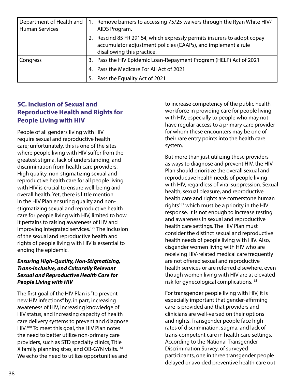| Department of Health and<br><b>Human Services</b> | 1. | Remove barriers to accessing 75/25 waivers through the Ryan White HIV/<br>AIDS Program.                                                                             |
|---------------------------------------------------|----|---------------------------------------------------------------------------------------------------------------------------------------------------------------------|
|                                                   |    | Rescind 85 FR 29164, which expressly permits insurers to adopt copay<br>accumulator adjustment policies (CAAPs), and implement a rule<br>disallowing this practice. |
| Congress                                          |    | 3. Pass the HIV Epidemic Loan-Repayment Program (HELP) Act of 2021                                                                                                  |
|                                                   |    | 4. Pass the Medicare For All Act of 2021                                                                                                                            |
|                                                   | 5. | Pass the Equality Act of 2021                                                                                                                                       |

#### **5C. Inclusion of Sexual and Reproductive Health and Rights for People Living with HIV**

People of all genders living with HIV require sexual and reproductive health care; unfortunately, this is one of the sites where people living with HIV suffer from the greatest stigma, lack of understanding, and discrimination from health care providers. High quality, non-stigmatizing sexual and reproductive health care for all people living with HIV is crucial to ensure well-being and overall health. Yet, there is little mention in the HIV Plan ensuring quality and nonstigmatizing sexual and reproductive health care for people living with HIV, limited to how it pertains to raising awareness of HIV and improving integrated services.<sup>179</sup> The inclusion of the sexual and reproductive health and rights of people living with HIV is essential to ending the epidemic.

#### *Ensuring High-Quality, Non-Stigmatizing, Trans-Inclusive, and Culturally Relevant Sexual and Reproductive Health Care for People Living with HIV*

The first goal of the HIV Plan is "to prevent new HIV infections" by, in part, increasing awareness of HIV, increasing knowledge of HIV status, and increasing capacity of health care delivery systems to prevent and diagnose HIV.180 To meet this goal, the HIV Plan notes the need to better utilize non-primary care providers, such as STD specialty clinics, Title X family planning sites, and OB-GYN visits.181 We echo the need to utilize opportunities and

to increase competency of the public health workforce in providing care for people living with HIV, especially to people who may not have regular access to a primary care provider for whom these encounters may be one of their rare entry points into the health care system.

But more than just utilizing these providers as ways to diagnose and prevent HIV, the HIV Plan should prioritize the overall sexual and reproductive health needs of people living with HIV, regardless of viral suppression. Sexual health, sexual pleasure, and reproductive health care and rights are cornerstone human rights<sup>182</sup> which must be a priority in the HIV response. It is not enough to increase testing and awareness in sexual and reproductive health care settings. The HIV Plan must consider the distinct sexual and reproductive health needs of people living with HIV. Also, cisgender women living with HIV who are receiving HIV-related medical care frequently are not offered sexual and reproductive health services or are referred elsewhere, even though women living with HIV are at elevated risk for gynecological complications.<sup>183</sup>

For transgender people living with HIV, it is especially important that gender-affirming care is provided and that providers and clinicians are well-versed on their options and rights. Transgender people face high rates of discrimination, stigma, and lack of trans-competent care in health care settings. According to the National Transgender Discrimination Survey, of surveyed participants, one in three transgender people delayed or avoided preventive health care out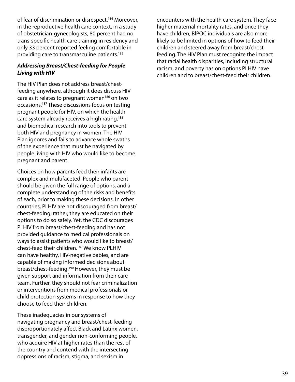of fear of discrimination or disrespect.<sup>184</sup> Moreover, in the reproductive health care context, in a study of obstetrician-gynecologists, 80 percent had no trans-specific health care training in residency and only 33 percent reported feeling comfortable in providing care to transmasculine patients.185

#### *Addressing Breast/Chest-feeding for People Living with HIV*

The HIV Plan does not address breast/chestfeeding anywhere, although it does discuss HIV care as it relates to pregnant women<sup>186</sup> on two occasions.187 These discussions focus on testing pregnant people for HIV, on which the health care system already receives a high rating,<sup>188</sup> and biomedical research into tools to prevent both HIV and pregnancy in women. The HIV Plan ignores and fails to advance whole swaths of the experience that must be navigated by people living with HIV who would like to become pregnant and parent.

Choices on how parents feed their infants are complex and multifaceted. People who parent should be given the full range of options, and a complete understanding of the risks and benefits of each, prior to making these decisions. In other countries, PLHIV are not discouraged from breast/ chest-feeding; rather, they are educated on their options to do so safely. Yet, the CDC discourages PLHIV from breast/chest-feeding and has not provided guidance to medical professionals on ways to assist patients who would like to breast/ chest-feed their children.189 We know PLHIV can have healthy, HIV-negative babies, and are capable of making informed decisions about breast/chest-feeding.190 However, they must be given support and information from their care team. Further, they should not fear criminalization or interventions from medical professionals or child protection systems in response to how they choose to feed their children.

These inadequacies in our systems of navigating pregnancy and breast/chest-feeding disproportionately affect Black and Latinx women, transgender, and gender non-conforming people, who acquire HIV at higher rates than the rest of the country and contend with the intersecting oppressions of racism, stigma, and sexism in

encounters with the health care system. They face higher maternal mortality rates, and once they have children, BlPOC individuals are also more likely to be limited in options of how to feed their children and steered away from breast/chestfeeding. The HIV Plan must recognize the impact that racial health disparities, including structural racism, and poverty has on options PLHIV have children and to breast/chest-feed their children.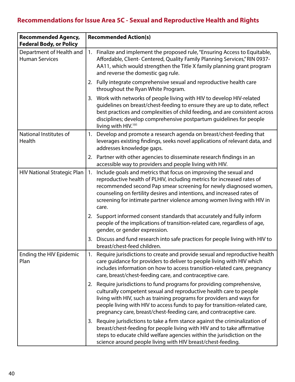# **Recommendations for Issue Area 5C - Sexual and Reproductive Health and Rights**

| <b>Recommended Agency,</b><br><b>Federal Body, or Policy</b> | <b>Recommended Action(s)</b> |                                                                                                                                                                                                                                                                                                                                                                              |  |
|--------------------------------------------------------------|------------------------------|------------------------------------------------------------------------------------------------------------------------------------------------------------------------------------------------------------------------------------------------------------------------------------------------------------------------------------------------------------------------------|--|
| Department of Health and<br><b>Human Services</b>            | 1.                           | Finalize and implement the proposed rule, "Ensuring Access to Equitable,<br>Affordable, Client- Centered, Quality Family Planning Services," RIN 0937-<br>AA11, which would strengthen the Title X family planning grant program<br>and reverse the domestic gag rule.                                                                                                       |  |
|                                                              |                              | 2. Fully integrate comprehensive sexual and reproductive health care<br>throughout the Ryan White Program.                                                                                                                                                                                                                                                                   |  |
|                                                              |                              | 3. Work with networks of people living with HIV to develop HIV-related<br>guidelines on breast/chest-feeding to ensure they are up to date, reflect<br>best practices and complexities of child feeding, and are consistent across<br>disciplines; develop comprehensive postpartum guidelines for people<br>living with HIV. <sup>191</sup>                                 |  |
| National Institutes of<br>Health                             | 1.                           | Develop and promote a research agenda on breast/chest-feeding that<br>leverages existing findings, seeks novel applications of relevant data, and<br>addresses knowledge gaps.                                                                                                                                                                                               |  |
|                                                              |                              | 2. Partner with other agencies to disseminate research findings in an<br>accessible way to providers and people living with HIV.                                                                                                                                                                                                                                             |  |
| <b>HIV National Strategic Plan</b>                           | 1.                           | Include goals and metrics that focus on improving the sexual and<br>reproductive health of PLHIV, including metrics for increased rates of<br>recommended second Pap smear screening for newly diagnosed women,<br>counseling on fertility desires and intentions, and increased rates of<br>screening for intimate partner violence among women living with HIV in<br>care. |  |
|                                                              |                              | 2. Support informed consent standards that accurately and fully inform<br>people of the implications of transition-related care, regardless of age,<br>gender, or gender expression.                                                                                                                                                                                         |  |
|                                                              | 3.                           | Discuss and fund research into safe practices for people living with HIV to<br>breast/chest-feed children.                                                                                                                                                                                                                                                                   |  |
| Ending the HIV Epidemic<br>Plan                              | 1.                           | Require jurisdictions to create and provide sexual and reproductive health<br>care guidance for providers to deliver to people living with HIV which<br>includes information on how to access transition-related care, pregnancy<br>care, breast/chest-feeding care, and contraceptive care.                                                                                 |  |
|                                                              |                              | 2. Require jurisdictions to fund programs for providing comprehensive,<br>culturally competent sexual and reproductive health care to people<br>living with HIV, such as training programs for providers and ways for<br>people living with HIV to access funds to pay for transition-related care,<br>pregnancy care, breast/chest-feeding care, and contraceptive care.    |  |
|                                                              | 3.                           | Require jurisdictions to take a firm stance against the criminalization of<br>breast/chest-feeding for people living with HIV and to take affirmative<br>steps to educate child welfare agencies within the jurisdiction on the<br>science around people living with HIV breast/chest-feeding.                                                                               |  |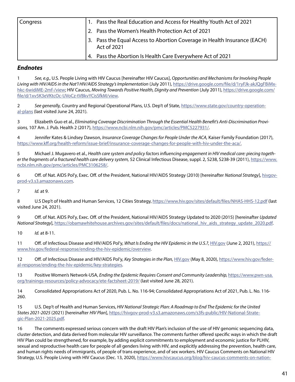| Congress | 1. Pass the Real Education and Access for Healthy Youth Act of 2021                     |
|----------|-----------------------------------------------------------------------------------------|
|          | 2. Pass the Women's Health Protection Act of 2021                                       |
|          | 3. Pass the Equal Access to Abortion Coverage in Health Insurance (EACH)<br>Act of 2021 |
|          | 4. Pass the Abortion Is Health Care Everywhere Act of 2021                              |

#### *Endnotes*

1 *See, e.g.,* U.S. People Living with HIV Caucus [hereinafter HIV Caucus], *Opportunities and Mechanisms for Involving People Living with HIV/AIDS in the Nat'l HIV/AIDS Strategy's Implementation* (July 2011), [https://drive.google.com/file/d/1ryFJk-akJQgFBiMx](https://drive.google.com/file/d/1ryFJk-akJQgFBiMxhkc-6widiME-2mf-/view)[hkc-6widiME-2mf-/view](https://drive.google.com/file/d/1ryFJk-akJQgFBiMxhkc-6widiME-2mf-/view); HIV Caucus, *Moving Towards Positive Health, Dignity and Prevention* (July 2011), [https://drive.google.com/](https://drive.google.com/file/d/1xv5K3eVKtcOc-UVoCz-tVBkvYCisSfkM/view) [file/d/1xv5K3eVKtcOc-UVoCz-tVBkvYCisSfkM/view](https://drive.google.com/file/d/1xv5K3eVKtcOc-UVoCz-tVBkvYCisSfkM/view).

2 *See generally,* Country and Regional Operational Plans, U.S. Dep't of State, [https://www.state.gov/country-operation](https://www.state.gov/country-operational-plans)[al-plans](https://www.state.gov/country-operational-plans) (last visited June 24, 2021).

3 Elizabeth Guo et al., *Eliminating Coverage Discrimination Through the Essential Health Benefit's Anti-Discrimination Provisions,* 107 Am. J. Pub. Health 2 (2017), <https://www.ncbi.nlm.nih.gov/pmc/articles/PMC5227931/>.

4 Jennifer Kates & Lindsey Dawson, *Insurance Coverage Changes for People Under the ACA,* Kaiser Family Foundation (2017), <https://www.kff.org/health-reform/issue-brief/insurance-coverage-changes-for-people-with-hiv-under-the-aca/.>

5 Michael J. Mugavero et al., *Health care system and policy factors influencing engagement in HIV medical care: piecing together the fragments of a fractured health care delivery system,* 52 Clinical Infectious Disease, suppl. 2, S238, S238-39 (2011), [https://www.](https://www.ncbi.nlm.nih.gov/pmc/articles/PMC3106258/) [ncbi.nlm.nih.gov/pmc/articles/PMC3106258/.](https://www.ncbi.nlm.nih.gov/pmc/articles/PMC3106258/)

6 Off. of Nat. AIDS Pol'y, Exec. Off. of the President, National HIV/AIDS Strategy (2010) [hereinafter *National Strategy*], [hivgov](http://hivgov-prod-v3.s3.amazonaws.com)[prod-v3.s3.amazonaws.com.](http://hivgov-prod-v3.s3.amazonaws.com)

7 *Id.* at 9.

8 U.S Dep't of Health and Human Services, 12 Cities Strategy, <https://www.hiv.gov/sites/default/files/NHAS-HHS-12.pdf> (last visited June 24, 2021).

9 Off. of Nat. AIDS Pol'y, Exec. Off. of the President, National HIV/AIDS Strategy Updated to 2020 (2015) [hereinafter *Updated National Strategy*], [https://obamawhitehouse.archives.gov/sites/default/files/docs/national\\_hiv\\_aids\\_strategy\\_update\\_2020.pdf](https://obamawhitehouse.archives.gov/sites/default/files/docs/national_hiv_aids_strategy_update_2020.pdf).

10 *Id.* at 8-11.

11 Off. of Infectious Disease and HIV/AIDS Pol'y, *What Is Ending the HIV Epidemic in the U.S.?*, [HIV.gov](http://HIV.gov) (June 2, 2021), [https://](https://www.hiv.gov/federal-response/ending-the-hiv-epidemic/overview) [www.hiv.gov/federal-response/ending-the-hiv-epidemic/overview.](https://www.hiv.gov/federal-response/ending-the-hiv-epidemic/overview)

12 Off. of Infectious Disease and HIV/AIDS Pol'y, *Key Strategies in the Plan,* [HIV.gov](http://HIV.gov) (May 8, 2020), [https://www.hiv.gov/feder](https://www.hiv.gov/federal-response/ending-the-hiv-epidemic/key-strategies)[al-response/ending-the-hiv-epidemic/key-strategies](https://www.hiv.gov/federal-response/ending-the-hiv-epidemic/key-strategies).

13 Positive Women's Network-USA, *Ending the Epidemic Requires Consent and Community Leadership,* [https://www.pwn-usa.](https://www.pwn-usa.org/trainings-resources/policy-advocacy/ete-factsheet-2019/) [org/trainings-resources/policy-advocacy/ete-factsheet-2019/](https://www.pwn-usa.org/trainings-resources/policy-advocacy/ete-factsheet-2019/) (last visited June 28, 2021).

14 Consolidated Appropriations Act of 2020, Pub. L. No. 116-94; Consolidated Appropriations Act of 2021, Pub. L. No. 116- 260.

15 U.S. Dep't of Health and Human Services, *HIV National Strategic Plan: A Roadmap to End The Epidemic for the United States 2021-2025* (2021) [hereinafter *HIV Plan*], [https://hivgov-prod-v3.s3.amazonaws.com/s3fs-public/HIV-National-Strate](https://hivgov-prod-v3.s3.amazonaws.com/s3fs-public/HIV-National-Strategic-Plan-2021-2025.pdf)[gic-Plan-2021-2025.pdf.](https://hivgov-prod-v3.s3.amazonaws.com/s3fs-public/HIV-National-Strategic-Plan-2021-2025.pdf)

16 The comments expressed serious concern with the draft HIV Plan's inclusion of the use of HIV genomic sequencing data, cluster detection, and data derived from molecular HIV surveillance. The comments further offered specific ways in which the draft HIV Plan could be strengthened, for example, by adding explicit commitments to employment and economic justice for PLHIV, sexual and reproductive health care for people of all genders living with HIV, and explicitly addressing the prevention, health care, and human rights needs of immigrants, of people of trans experience, and of sex workers. HIV Caucus Comments on National HIV Strategy, U.S. People Living with HIV Caucus (Dec. 13, 2020), [https://www.hivcaucus.org/blog/hiv-caucus-comments-on-nation-](https://www.hivcaucus.org/blog/hiv-caucus-comments-on-national-hiv-strategy)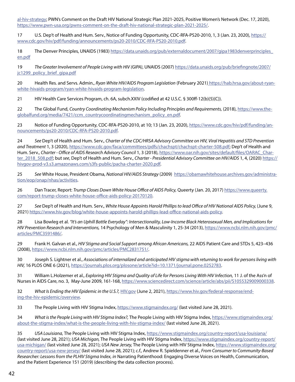[al-hiv-strategy](https://www.hivcaucus.org/blog/hiv-caucus-comments-on-national-hiv-strategy); PWN's Comment on the Draft HIV National Strategic Plan 2021-2025, Positive Women's Network (Dec. 17, 2020), <https://www.pwn-usa.org/pwns-comment-on-the-draft-hiv-national-strategic-plan-2021-2025/>.

17 U.S. Dep't of Health and Hum. Serv., Notice of Funding Opportunity, CDC-RFA-PS20-2010, 1, 3 (Jan. 23, 2020), [https://](https://www.cdc.gov/hiv/pdf/funding/announcements/ps20-2010/CDC-RFA-PS20-2010.pdf) [www.cdc.gov/hiv/pdf/funding/announcements/ps20-2010/CDC-RFA-PS20-2010.pdf.](https://www.cdc.gov/hiv/pdf/funding/announcements/ps20-2010/CDC-RFA-PS20-2010.pdf)

18 The Denver Principles, UNAIDS (1983) [https://data.unaids.org/pub/externaldocument/2007/gipa1983denverprinciples\\_](https://data.unaids.org/pub/externaldocument/2007/gipa1983denverprinciples_en.pdf) [en.pdf](https://data.unaids.org/pub/externaldocument/2007/gipa1983denverprinciples_en.pdf)

19 *The Greater Involvement of People Living with HIV (GIPA)*, UNAIDS (2007) [https://data.unaids.org/pub/briefingnote/2007/](https://data.unaids.org/pub/briefingnote/2007/jc1299_policy_brief_gipa.pdf) [jc1299\\_policy\\_brief\\_gipa.pdf](https://data.unaids.org/pub/briefingnote/2007/jc1299_policy_brief_gipa.pdf)

20 Health Res. and Servs. Admin., *Ryan White HIV/AIDS Program Legislation* (February 2021[\) https://hab.hrsa.gov/about-ryan]( https://hab.hrsa.gov/about-ryan-white-hivaids-program/ryan-white-hivaids-program-legislation)[white-hivaids-program/ryan-white-hivaids-program-legislation]( https://hab.hrsa.gov/about-ryan-white-hivaids-program/ryan-white-hivaids-program-legislation).

21 HIV Health Care Services Program, ch. 6A, subch.XXIV (codified at 42 U.S.C. § 300ff-12(b)(5)(C)).

22 The Global Fund, *Country Coordinating Mechanism Policy Including Principles and Requirements,* (2018), [https://www.the](https://www.theglobalfund.org/media/7421/ccm_countrycoordinatingmechanism_policy_en.pdf)[globalfund.org/media/7421/ccm\\_countrycoordinatingmechanism\\_policy\\_en.pdf.](https://www.theglobalfund.org/media/7421/ccm_countrycoordinatingmechanism_policy_en.pdf)

23 Notice of Funding Opportunity, CDC-RFA-PS20-2010, at 10; 13 (Jan. 23, 2020), [https://www.cdc.gov/hiv/pdf/funding/an](https://www.cdc.gov/hiv/pdf/funding/announcements/ps20-2010/CDC-RFA-PS20-2010.pdf)[nouncements/ps20-2010/CDC-RFA-PS20-2010.pdf](https://www.cdc.gov/hiv/pdf/funding/announcements/ps20-2010/CDC-RFA-PS20-2010.pdf).

24 *See* Dep't of Health and Hum. Serv., *Charter of the CDC/HRSA Advisory Committee on HIV, Viral Hepatitis and STD Prevention and Treatment* 1, 3 (2020), [https://www.cdc.gov/faca/committees/pdfs/chachspt/chachspt-charter-508.pdf;](https://www.cdc.gov/faca/committees/pdfs/chachspt/chachspt-charter-508.pdf) Dep't of Health and Hum. Serv., *Charter - Office of AIDS Research Advisory Council* 1, 3 (2018), [https://www.oar.nih.gov/sites/default/files/OARAC\\_Char](https://www.oar.nih.gov/sites/default/files/OARAC_Charter_2018_508.pdf)[ter\\_2018\\_508.pdf](https://www.oar.nih.gov/sites/default/files/OARAC_Charter_2018_508.pdf); but *see*, Dep't of Health and Hum. Serv., *Charter - Presidential Advisory Committee on HIV/AIDS* 1, 4, (2020) [https://](https://hivgov-prod-v3.s3.amazonaws.com/s3fs-public/pacha-charter-2020.pdf) [hivgov-prod-v3.s3.amazonaws.com/s3fs-public/pacha-charter-2020.pdf.](https://hivgov-prod-v3.s3.amazonaws.com/s3fs-public/pacha-charter-2020.pdf)

25 *See* White House, President Obama, *National HIV/AIDS Strategy* (2009) [https://obamawhitehouse.archives.gov/administra](https://obamawhitehouse.archives.gov/administration/eop/onap/nhas/activities)[tion/eop/onap/nhas/activities.](https://obamawhitehouse.archives.gov/administration/eop/onap/nhas/activities)

26 Dan Tracer, Report: *Trump Closes Down White House Office of AIDS Policy,* Queerty (Jan. 20, 2017) [https://www.queerty.](https://www.queerty.com/report-trump-closes-white-house-office-aids-policy-20170120) [com/report-trump-closes-white-house-office-aids-policy-20170120](https://www.queerty.com/report-trump-closes-white-house-office-aids-policy-20170120).

27 *See* Dep't of Health and Hum. Serv., *White House Appoints Harold Phillips to lead Office of HIV National AIDS Policy,* (June 9, 2021) [https://www.hiv.gov/blog/white-house-appoints-harold-phillips-lead-office-national-aids-policy.](https://www.hiv.gov/blog/white-house-appoints-harold-phillips-lead-office-national-aids-policy)

28 Lisa Bowleg et al. *"It's an Uphill Battle Everyday": Intersectionality, Low-Income Black Heterosexual Men, and Implications for HIV Prevention Research and Interventions,* 14 Psychology of Men & Masculinity 1, 25-34 (2013), [https://www.ncbi.nlm.nih.gov/pmc/](https://www.ncbi.nlm.nih.gov/pmc/articles/PMC3591486/) [articles/PMC3591486/.](https://www.ncbi.nlm.nih.gov/pmc/articles/PMC3591486/)

29 Frank H. Galvan et al., *HIV Stigma and Social Support among African Americans,* 22 AIDS Patient Care and STDs 5, 423–436 (2008), [https://www.ncbi.nlm.nih.gov/pmc/articles/PMC2831751/.](https://www.ncbi.nlm.nih.gov/pmc/articles/PMC2831751/)

30 Joseph S. Lightner et al., *Associations of internalized and anticipated HIV stigma with returning to work for persons living with HIV,* 16 PLOS ONE 6 (2021), <https://journals.plos.org/plosone/article?id=10.1371/journal.pone.0252783>.

31 William L.Holzemer et al., *Exploring HIV Stigma and Quality of Life for Persons Living With HIV Infection,* 11 J. of the Ass'n of Nurses in AIDS Care, no. 3, May-June 2009, 161-168, <https://www.sciencedirect.com/science/article/abs/pii/S1055329009000338>.

32 *What Is Ending the HIV Epidemic in the U.S.?,* [HIV.gov](http://HIV.gov) (June 2, 2021), [https://www.hiv.gov/federal-response/end](https://www.hiv.gov/federal-response/ending-the-hiv-epidemic/overview)[ing-the-hiv-epidemic/overview.](https://www.hiv.gov/federal-response/ending-the-hiv-epidemic/overview)

33 The People Living with HIV Stigma Index, <https://www.stigmaindex.org/>(last visited June 28, 2021).

34 *What is the People Living with HIV Stigma Index?,* The People Living with HIV Stigma Index, [https://www.stigmaindex.org/](https://www.stigmaindex.org/about-the-stigma-index/what-is-the-people-living-with-hiv-stigma-index/) [about-the-stigma-index/what-is-the-people-living-with-hiv-stigma-index/](https://www.stigmaindex.org/about-the-stigma-index/what-is-the-people-living-with-hiv-stigma-index/) (last visited June 28, 2021).

35 *USA Louisiana,* The People Living with HIV Stigma Index, <https://www.stigmaindex.org/country-report/usa-louisiana/> (last visited June 28, 2021); *USA Michigan,* The People Living with HIV Stigma Index, [https://www.stigmaindex.org/country-report/](https://www.stigmaindex.org/country-report/usa-michigan/) [usa-michigan/](https://www.stigmaindex.org/country-report/usa-michigan/) (last visited June 28, 2021); *USA New Jersey,* The People Living with HIV Stigma Index, [https://www.stigmaindex.org/](https://www.stigmaindex.org/country-report/usa-new-jersey/) [country-report/usa-new-jersey/](https://www.stigmaindex.org/country-report/usa-new-jersey/) (last visited June 28, 2021); *c.f.,* Andrew R. Spieldenner et al., *From Consumer to Community-Based Researcher: Lessons from the PLHIV Stigma Index, in* Narrating Patienthood: Engaging Diverse Voices on Health, Communication, and the Patient Experience 151 (2019) (describing the data collection process).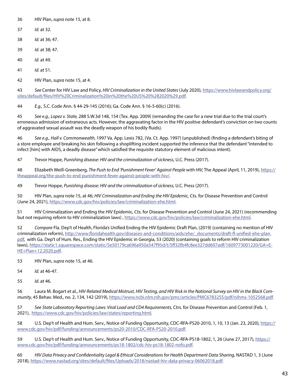- 36 HIV Plan, *supra* note 15, at 8.
- 37 *Id.* at 32.
- 38 *Id.* at 36; 47.
- 39 *Id.* at 38; 47.
- 40 *Id.* at 49.
- 41 *Id.* at 51.
- 42 HIV Plan, *supra* note 15, at 4.

43 *See* Center for HIV Law and Policy, *HIV Criminalization in the United States* (July 2020), [https://www.hivlawandpolicy.org/](https://www.hivlawandpolicy.org/sites/default/files/HIV%20Criminalization%20in%20the%20US%20%282020%29.pdf) [sites/default/files/HIV%20Criminalization%20in%20the%20US%20%282020%29.pdf](https://www.hivlawandpolicy.org/sites/default/files/HIV%20Criminalization%20in%20the%20US%20%282020%29.pdf).

44 *E.g.,* S.C. Code Ann. § 44-29-145 (2016); Ga. Code Ann. § 16-5-60(c) (2016).

45 *See e.g., Lopez v. State,* 288 S.W.3d 148, 154 (Tex. App. 2009) (remanding the case for a new trial due to the trial court's erroneous admission of extraneous acts. However, the aggravating factor in the HIV positive defendant's conviction on two counts of aggravated sexual assault was the deadly weapon of his bodily fluids).

46 *See e.g., Hall v. Commonwealth,* 1997 Va. App. Lexis 782, (Va. Ct. App. 1997) (unpublished) (finding a defendant's biting of a store employee and breaking his skin following a shoplifting incident supported the inference that the defendant "intended to infect [him] with AIDS, a deadly disease" which satisfied the requisite statutory element of malicious intent).

47 Trevor Hoppe, *Punishing disease: HIV and the criminalization of sickness,* U.C. Press (2017).

48 Elizabeth Weill-Greenberg, *The Push to End 'Punishment Fever' Against People with HIV,* The Appeal (April, 11, 2019), [https://](https://theappeal.org/the-push-to-end-punishment-fever-against-people-with-hiv/) [theappeal.org/the-push-to-end-punishment-fever-against-people-with-hiv/.](https://theappeal.org/the-push-to-end-punishment-fever-against-people-with-hiv/)

49 Trevor Hoppe, *Punishing disease: HIV and the criminalization of sickness,* U.C. Press (2017).

50 HIV Plan, *supra* note 15, at 46; *HIV Criminalization and Ending the HIV Epidemic,* Cts. for Disease Prevention and Control (June 24, 2021), <https://www.cdc.gov/hiv/policies/law/criminalization-ehe.html>.

51 HIV Criminalization and Ending the HIV Epidemic, Cts. for Disease Prevention and Control (June 24, 2021) (recommending but not requiring reform to HIV criminalization laws), <https://www.cdc.gov/hiv/policies/law/criminalization-ehe.html>.

52 *Compare* Fla. Dep't of Health, Florida's Unified Ending the HIV Epidemic Draft Plan, (2019) (containing no mention of HIV criminalization reform), [http://www.floridahealth.gov/diseases-and-conditions/aids/ehe/\\_documents/draft-fl-unified-ehe-plan.](http://www.floridahealth.gov/diseases-and-conditions/aids/ehe/_documents/draft-fl-unified-ehe-plan.pdf) [pdf,](http://www.floridahealth.gov/diseases-and-conditions/aids/ehe/_documents/draft-fl-unified-ehe-plan.pdf) with Ga. Dep't of Hum. Res., Ending the HIV Epidemic in Georgia, 53 (2020) (containing goals to reform HIV criminalization laws), [https://static1.squarespace.com/static/5e50179ca696a950a547f95d/t/5ff32fb4fc8ee327dd607adf/1609773001220/GA+E-](https://static1.squarespace.com/static/5e50179ca696a950a547f95d/t/5ff32fb4fc8ee327dd607adf/1609773001220/GA+EHE+Plan+12.2020.pdf)[HE+Plan+12.2020.pdf](https://static1.squarespace.com/static/5e50179ca696a950a547f95d/t/5ff32fb4fc8ee327dd607adf/1609773001220/GA+EHE+Plan+12.2020.pdf).

53 HIV Plan, *supra* note 15, at 46.

- 54 *Id.* at 46-47.
- 55 *Id.* at 46.

56 Laura M. Bogart et al., *HIV-Related Medical Mistrust, HIV Testing, and HIV Risk in the National Survey on HIV in the Black Community,* 45 Behav. Med., no. 2, 134, 142 (2019), [https://www.ncbi.nlm.nih.gov/pmc/articles/PMC6783255/pdf/nihms-1052568.pdf.](https://www.ncbi.nlm.nih.gov/pmc/articles/PMC6783255/pdf/nihms-1052568.pdf)

57 *See State Laboratory Reporting Laws: Viral Load and CD4 Requirements,* Ctrs. for Disease Prevention and Control (Feb. 1, 2021), [https://www.cdc.gov/hiv/policies/law/states/reporting.html.](https://www.cdc.gov/hiv/policies/law/states/reporting.html)

58 U.S. Dep't of Health and Hum. Serv., Notice of Funding Opportunity, CDC-RFA-PS20-2010, 1, 10, 13 (Jan. 23, 2020), [https://](https://www.cdc.gov/hiv/pdf/funding/announcements/ps20-2010/CDC-RFA-PS20-2010.pdf) [www.cdc.gov/hiv/pdf/funding/announcements/ps20-2010/CDC-RFA-PS20-2010.pdf.](https://www.cdc.gov/hiv/pdf/funding/announcements/ps20-2010/CDC-RFA-PS20-2010.pdf)

59 U.S. Dep't of Health and Hum. Serv., Notice of Funding Opportunity, CDC-RFA-PS18-1802, 1, 26 (June 27, 2017), [https://](https://www.cdc.gov/hiv/pdf/funding/announcements/ps18-1802/cdc-hiv-ps18-1802-nofo.pdf) [www.cdc.gov/hiv/pdf/funding/announcements/ps18-1802/cdc-hiv-ps18-1802-nofo.pdf.](https://www.cdc.gov/hiv/pdf/funding/announcements/ps18-1802/cdc-hiv-ps18-1802-nofo.pdf)

60 *HIV Data Privacy and Confidentiality Legal & Ethical Considerations for Health Department Data Sharing,* NASTAD 1, 3 (June 2018), [https://www.nastad.org/sites/default/files/Uploads/2018/nastad-hiv-data-privacy-06062018.pdf.](https://www.nastad.org/sites/default/files/Uploads/2018/nastad-hiv-data-privacy-06062018.pdf)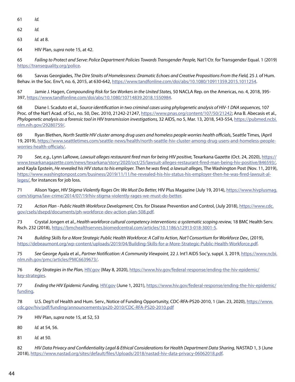- 61 *Id.*
- 62 *Id.*
- 63 *Id.* at 8.
- 64 HIV Plan, *supra* note 15, at 42.

65 *Failing to Protect and Serve: Police Department Policies Towards Transgender People,* Nat'l Ctr. for Transgender Equal. 1 (2019) [https://transequality.org/police.](https://transequality.org/police)

66 Savvas Georgiades, *The Dire Straits of Homelessness: Dramatic Echoes and Creative Propositions From the Field,* 25 J. of Hum. Behav. in the Soc. Env't, no. 6, 2015, at 630-642, <https://www.tandfonline.com/doi/abs/10.1080/10911359.2015.1011254>.

67 Jamie J. Hagen, *Compounding Risk for Sex Workers in the United States,* 50 NACLA Rep. on the Americas, no. 4, 2018, 395- 397, <https://www.tandfonline.com/doi/abs/10.1080/10714839.2018.1550984>.

68 Diane I. Scaduto et al., *Source identification in two criminal cases using phylogenetic analysis of HIV-1 DNA sequences,* 107 Proc. of the Nat'l Acad. of Sci., no. 50, Dec. 2010, 21242-21247, <https://www.pnas.org/content/107/50/21242>; Ana B. Abecasis et al., *Phylogenetic analysis as a forensic tool in HIV transmission investigations,* 32 AIDS, no 5, Mar. 13, 2018, 543-554, [https://pubmed.ncbi.](https://pubmed.ncbi.nlm.nih.gov/29280759/) [nlm.nih.gov/29280759/.](https://pubmed.ncbi.nlm.nih.gov/29280759/)

69 Ryan Blethen, *North Seattle HIV cluster among drug users and homeless people worries health officials*, Seattle Times, (April 19, 2019), [https://www.seattletimes.com/seattle-news/health/north-seattle-hiv-cluster-among-drug-users-and-homeless-people](https://www.seattletimes.com/seattle-news/health/north-seattle-hiv-cluster-among-drug-users-and-homeless-people-worries-health-officials/)[worries-health-officials/.](https://www.seattletimes.com/seattle-news/health/north-seattle-hiv-cluster-among-drug-users-and-homeless-people-worries-health-officials/)

70 *See*, *e.g.*, Lynn LaRowe, *Lawsuit alleges restaurant fired man for being HIV positive,* Texarkana Gazette (Oct. 24, 2020), [https://](https://www.texarkanagazette.com/news/texarkana/story/2020/oct/25/lawsuit-alleges-restaurant-fired-man-being-hiv-positive/846593/) [www.texarkanagazette.com/news/texarkana/story/2020/oct/25/lawsuit-alleges-restaurant-fired-man-being-hiv-positive/846593/](https://www.texarkanagazette.com/news/texarkana/story/2020/oct/25/lawsuit-alleges-restaurant-fired-man-being-hiv-positive/846593/), and Kayla Epstein, *He revealed his HIV status to his employer. Then he was fired, a lawsuit alleges*, The Washington Post (Nov. 11, 2019), [https://www.washingtonpost.com/business/2019/11/11/he-revealed-his-hiv-status-his-employer-then-he-was-fired-lawsuit-al](https://www.washingtonpost.com/business/2019/11/11/he-revealed-his-hiv-status-his-employer-then-he-was-fired-lawsuit-alleges/)[leges/](https://www.washingtonpost.com/business/2019/11/11/he-revealed-his-hiv-status-his-employer-then-he-was-fired-lawsuit-alleges/), for instances for job loss.

71 Alison Yager, *HIV Stigma Violently Rages On: We Must Do Better,* HIV Plus Magazine (July 19, 2014), [https://www.hivplusmag.](https://www.hivplusmag.com/stigma/law-crime/2014/07/19/hiv-stigma-violently-rages-we-must-do-better) [com/stigma/law-crime/2014/07/19/hiv-stigma-violently-rages-we-must-do-better](https://www.hivplusmag.com/stigma/law-crime/2014/07/19/hiv-stigma-violently-rages-we-must-do-better).

72 *Action Plan - Public Health Workforce Development,* Ctrs. for Disease Prevention and Control, (July 2018), [https://www.cdc.](https://www.cdc.gov/csels/dsepd/documents/ph-workforce-dev-action-plan-508.pdf) [gov/csels/dsepd/documents/ph-workforce-dev-action-plan-508.pdf](https://www.cdc.gov/csels/dsepd/documents/ph-workforce-dev-action-plan-508.pdf).

73 Crystal Jongen et al., *Health workforce cultural competency interventions: a systematic scoping review,* 18 BMC Health Serv. Rsch. 232 (2018), [https://bmchealthservres.biomedcentral.com/articles/10.1186/s12913-018-3001-5.](https://bmchealthservres.biomedcentral.com/articles/10.1186/s12913-018-3001-5)

74 *Building Skills for a More Strategic Public Health Workforce: A Call to Action, Nat'l Consortium for Workforce Dev.,* (2019), <https://debeaumont.org/wp-content/uploads/2019/04/Building-Skills-for-a-More-Strategic-Public-Health-Workforce.pdf>.

75 *See* George Ayala et al., *Partner Notification: A Community Viewpoint,* 22 J. Int'l AIDS Soc'y, suppl. 3, 2019, [https://www.ncbi.](https://www.ncbi.nlm.nih.gov/pmc/articles/PMC6639673/) [nlm.nih.gov/pmc/articles/PMC6639673/.](https://www.ncbi.nlm.nih.gov/pmc/articles/PMC6639673/)

76 *Key Strategies in the Plan,* [HIV.gov](http://HIV.gov) (May 8, 2020), [https://www.hiv.gov/federal-response/ending-the-hiv-epidemic/](https://www.hiv.gov/federal-response/ending-the-hiv-epidemic/key-strategies) [key-strategies.](https://www.hiv.gov/federal-response/ending-the-hiv-epidemic/key-strategies)

77 *Ending the HIV Epidemic Funding,* [HIV.gov](http://HIV.gov) (June 1, 2021), [https://www.hiv.gov/federal-response/ending-the-hiv-epidemic/](https://www.hiv.gov/federal-response/ending-the-hiv-epidemic/funding) [funding.](https://www.hiv.gov/federal-response/ending-the-hiv-epidemic/funding)

78 U.S. Dep't of Health and Hum. Serv., Notice of Funding Opportunity, CDC-RFA-PS20-2010, 1 (Jan. 23, 2020), [https://www.](https://www.cdc.gov/hiv/pdf/funding/announcements/ps20-2010/CDC-RFA-PS20-2010.pdf) [cdc.gov/hiv/pdf/funding/announcements/ps20-2010/CDC-RFA-PS20-2010.pdf](https://www.cdc.gov/hiv/pdf/funding/announcements/ps20-2010/CDC-RFA-PS20-2010.pdf)

- 79 HIV Plan, *supra* note 15, at 52, 53
- 80 *Id.* at 54, 56.
- 81 *Id.* at 50.

82 *HIV Data Privacy and Confidentiality Legal & Ethical Considerations for Health Department Data Sharing,* NASTAD 1, 3 (June 2018), [https://www.nastad.org/sites/default/files/Uploads/2018/nastad-hiv-data-privacy-06062018.pdf.](https://www.nastad.org/sites/default/files/Uploads/2018/nastad-hiv-data-privacy-06062018.pdf)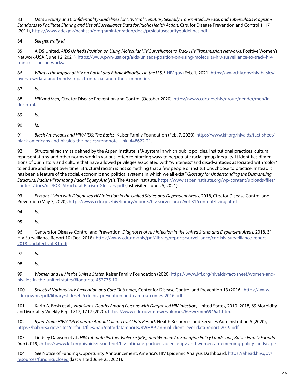83 *Data Security and Confidentiality Guidelines for HIV, Viral Hepatitis, Sexually Transmitted Disease, and Tuberculosis Programs: Standards to Facilitate Sharing and Use of Surveillance Data for Public Health Action,* Ctrs. for Disease Prevention and Control 1, 17 (2011),<https://www.cdc.gov/nchhstp/programintegration/docs/pcsidatasecurityguidelines.pdf>.

84 *See generally id.*

85 AIDS United, *AIDS United's Position on Using Molecular HIV Surveillance to Track HIV Transmission Networks,* Positive Women's Network-USA (June 12, 2021), [https://www.pwn-usa.org/aids-uniteds-position-on-using-molecular-hiv-surveillance-to-track-hiv](https://www.pwn-usa.org/aids-uniteds-position-on-using-molecular-hiv-surveillance-to-track-hiv-transmission-networks/)[transmission-networks/](https://www.pwn-usa.org/aids-uniteds-position-on-using-molecular-hiv-surveillance-to-track-hiv-transmission-networks/).

86 *What Is the Impact of HIV on Racial and Ethnic Minorities in the U.S.?,* [HIV.gov](http://HIV.gov) (Feb. 1, 2021) [https://www.hiv.gov/hiv-basics/](https://www.hiv.gov/hiv-basics/overview/data-and-trends/impact-on-racial-and-ethnic-minorities) [overview/data-and-trends/impact-on-racial-and-ethnic-minorities](https://www.hiv.gov/hiv-basics/overview/data-and-trends/impact-on-racial-and-ethnic-minorities).

87 *Id.*

88 *HIV and Men,* Ctrs. for Disease Prevention and Control (October 2020), [https://www.cdc.gov/hiv/group/gender/men/in](https://www.cdc.gov/hiv/group/gender/men/index.html)[dex.html.](https://www.cdc.gov/hiv/group/gender/men/index.html)

89 *Id.*

90 *Id.*

91 *Black Americans and HIV/AIDS: The Basics,* Kaiser Family Foundation (Feb. 7, 2020), [https://www.kff.org/hivaids/fact-sheet/](https://www.kff.org/hivaids/fact-sheet/black-americans-and-hivaids-the-basics/#endnote_link_448622-21) [black-americans-and-hivaids-the-basics/#endnote\\_link\\_448622-21.](https://www.kff.org/hivaids/fact-sheet/black-americans-and-hivaids-the-basics/#endnote_link_448622-21)

92 Structural racism as defined by the Aspen Institute is "A system in which public policies, institutional practices, cultural representations, and other norms work in various, often reinforcing ways to perpetuate racial group inequity. It identifies dimensions of our history and culture that have allowed privileges associated with "whiteness" and disadvantages associated with "color" to endure and adapt over time. Structural racism is not something that a few people or institutions choose to practice. Instead it has been a feature of the social, economic and political systems in which we all exist." *Glossary for Understanding the Dismantling Structural Racism/Promoting Racial Equity Analysis*, The Aspen Institute, [https://www.aspeninstitute.org/wp-content/uploads/files/](https://www.aspeninstitute.org/wp-content/uploads/files/content/docs/rcc/RCC-Structural-Racism-Glossary.pdf) [content/docs/rcc/RCC-Structural-Racism-Glossary.pdf](https://www.aspeninstitute.org/wp-content/uploads/files/content/docs/rcc/RCC-Structural-Racism-Glossary.pdf) (last visited June 25, 2021).

93 *Persons Living with Diagnosed HIV Infection in the United States and Dependent Areas,* 2018, Ctrs. for Disease Control and Prevention (May 7, 2020), <https://www.cdc.gov/hiv/library/reports/hiv-surveillance/vol-31/content/living.html>.

94 *Id.*

95 *Id.*

96 Centers for Disease Control and Prevention, *Diagnoses of HIV Infection in the United States and Dependent Areas,* 2018, 31 HIV Surveillance Report 10 (Dec. 2018), [https://www.cdc.gov/hiv/pdf/library/reports/surveillance/cdc-hiv-surveillance-report-](https://www.cdc.gov/hiv/pdf/library/reports/surveillance/cdc-hiv-surveillance-report-2018-updated-vol-31.pdf)[2018-updated-vol-31.pdf](https://www.cdc.gov/hiv/pdf/library/reports/surveillance/cdc-hiv-surveillance-report-2018-updated-vol-31.pdf).

97 *Id.*

98 *Id.*

99 *Women and HIV in the United States,* Kaiser Family Foundation (2020) [https://www.kff.org/hivaids/fact-sheet/women-and](https://www.kff.org/hivaids/fact-sheet/women-and-hivaids-in-the-united-states/#footnote-452735-10)[hivaids-in-the-united-states/#footnote-452735-10.](https://www.kff.org/hivaids/fact-sheet/women-and-hivaids-in-the-united-states/#footnote-452735-10)

100 *Selected National HIV Prevention and Care Outcomes,* Center for Disease Control and Prevention 13 (2016), [https://www.](https://www.cdc.gov/hiv/pdf/library/slidesets/cdc-hiv-prevention-and-care-outcomes-2016.pdf) [cdc.gov/hiv/pdf/library/slidesets/cdc-hiv-prevention-and-care-outcomes-2016.pdf](https://www.cdc.gov/hiv/pdf/library/slidesets/cdc-hiv-prevention-and-care-outcomes-2016.pdf).

101 Karin A. Bosh et al., *Vital Signs: Deaths Among Persons with Diagnosed HIV Infection,* United States, 2010–2018, 69 Morbidity and Mortality Weekly Rep. 1717, 1717 (2020), [https://www.cdc.gov/mmwr/volumes/69/wr/mm6946a1.htm.](https://www.cdc.gov/mmwr/volumes/69/wr/mm6946a1.htm)

102 *Ryan White HIV/AIDS Program Annual Client-Level Data Report,* Health Resources and Services Administration 5 (2020), [https://hab.hrsa.gov/sites/default/files/hab/data/datareports/RWHAP-annual-client-level-data-report-2019.pdf.](https://hab.hrsa.gov/sites/default/files/hab/data/datareports/RWHAP-annual-client-level-data-report-2019.pdf)

103 Lindsey Dawson et al., *HIV, Intimate Partner Violence (IPV), and Women: An Emerging Policy Landscape, Kaiser Family Foundation* (2019), [https://www.kff.org/hivaids/issue-brief/hiv-intimate-partner-violence-ipv-and-women-an-emerging-policy-landscape.](https://www.kff.org/hivaids/issue-brief/hiv-intimate-partner-violence-ipv-and-women-an-emerging-policy-landscape)

104 *See* Notice of Funding Opportunity Announcement, America's HIV Epidemic Analysis Dashboard, [https://ahead.hiv.gov/](https://ahead.hiv.gov/resources/funding/closed) [resources/funding/closed](https://ahead.hiv.gov/resources/funding/closed) (last visited June 25, 2021).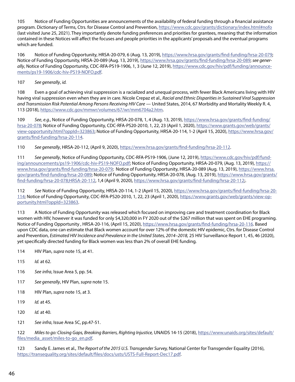105 Notice of Funding Opportunities are announcements of the availability of federal funding through a financial assistance program. Dictionary of Terms, Ctrs. for Disease Control and Prevention, <https://www.cdc.gov/grants/dictionary/index.html#nofo> (last visited June 25, 2021). They importantly denote funding preferences and priorities for grantees, meaning that the information contained in these Notices will affect the focuses and people priorities in the applicants' proposals and the eventual programs which are funded.

106 Notice of Funding Opportunity, HRSA-20-079, 6 (Aug. 13, 2019), <https://www.hrsa.gov/grants/find-funding/hrsa-20-079>; Notice of Funding Opportunity, HRSA-20-089 (Aug. 13, 2019),<https://www.hrsa.gov/grants/find-funding/hrsa-20-089>; *see generally*, Notice of Funding Opportunity, CDC-RFA-PS19-1906, 1, 3 (June 12, 2019), [https://www.cdc.gov/hiv/pdf/funding/announce](https://www.cdc.gov/hiv/pdf/funding/announcements/ps19-1906/cdc-hiv-PS19-NOFO.pdf)[ments/ps19-1906/cdc-hiv-PS19-NOFO.pdf](https://www.cdc.gov/hiv/pdf/funding/announcements/ps19-1906/cdc-hiv-PS19-NOFO.pdf).

#### 107 *See generally*, *id.*

108 Even a goal of achieving viral suppression is a racialized and unequal process, with fewer Black Americans living with HIV having viral suppression even when they are in care. Nicole Crepaz et al., *Racial and Ethnic Disparities in Sustained Viral Suppression and Transmission Risk Potential Among Persons Receiving HIV Care* — United States, 2014, 67 Morbidity and Mortality Weekly R. 4, 113 (2018), [https://www.cdc.gov/mmwr/volumes/67/wr/mm6704a2.htm.](https://www.cdc.gov/mmwr/volumes/67/wr/mm6704a2.htm)

109 *See*, *e.g.*, Notice of Funding Opportunity, HRSA-20-078, 1, 4 (Aug. 13, 2019), [https://www.hrsa.gov/grants/find-funding/](https://www.hrsa.gov/grants/find-funding/hrsa-20-078) [hrsa-20-078](https://www.hrsa.gov/grants/find-funding/hrsa-20-078); Notice of Funding Opportunity, CDC-RFA-PS20-2010, 1, 22, 23 (April 1, 2020), [https://www.grants.gov/web/grants/](https://www.grants.gov/web/grants/view-opportunity.html?oppId=323863) [view-opportunity.html?oppId=323863](https://www.grants.gov/web/grants/view-opportunity.html?oppId=323863); Notice of Funding Opportunity, HRSA-20-114, 1-2 (April 15, 2020), [https://www.hrsa.gov/](https://www.hrsa.gov/grants/find-funding/hrsa-20-114) [grants/find-funding/hrsa-20-114](https://www.hrsa.gov/grants/find-funding/hrsa-20-114).

110 *See generally*, HRSA-20-112, (April 9, 2020), [https://www.hrsa.gov/grants/find-funding/hrsa-20-112.](https://www.hrsa.gov/grants/find-funding/hrsa-20-112)

111 *See generally*, Notice of Funding Opportunity, CDC-RFA-PS19-1906, (June 12, 2019), [https://www.cdc.gov/hiv/pdf/fund](https://www.cdc.gov/hiv/pdf/funding/announcements/ps19-1906/cdc-hiv-PS19-NOFO.pdf)[ing/announcements/ps19-1906/cdc-hiv-PS19-NOFO.pdf;](https://www.cdc.gov/hiv/pdf/funding/announcements/ps19-1906/cdc-hiv-PS19-NOFO.pdf) Notice of Funding Opportunity, HRSA-20-079, (Aug. 13, 2019), [https://](https://www.hrsa.gov/grants/find-funding/hrsa-20-079) [www.hrsa.gov/grants/find-funding/hrsa-20-079](https://www.hrsa.gov/grants/find-funding/hrsa-20-079); Notice of Funding Opportunity, HRSA-20-089 (Aug. 13, 2019), [https://www.hrsa.](https://www.hrsa.gov/grants/find-funding/hrsa-20-089) [gov/grants/find-funding/hrsa-20-089](https://www.hrsa.gov/grants/find-funding/hrsa-20-089); Notice of Funding Opportunity, HRSA-20-078, (Aug. 13, 2019), [https://www.hrsa.gov/grants/](https://www.hrsa.gov/grants/find-funding/hrsa-20-078;HRSA-20-112) [find-funding/hrsa-20-078;HRSA-20-112](https://www.hrsa.gov/grants/find-funding/hrsa-20-078;HRSA-20-112), 1,4 (April 9, 2020),<https://www.hrsa.gov/grants/find-funding/hrsa-20-112>;.

112 *See* Notice of Funding Opportunity, HRSA-20-114, 1-2 (April 15, 2020), [https://www.hrsa.gov/grants/find-funding/hrsa-20-](https://www.hrsa.gov/grants/find-funding/hrsa-20-114) [114](https://www.hrsa.gov/grants/find-funding/hrsa-20-114); Notice of Funding Opportunity, CDC-RFA-PS20-2010, 1, 22, 23 (April 1, 2020), [https://www.grants.gov/web/grants/view-op](https://www.grants.gov/web/grants/view-opportunity.html?oppId=323863)[portunity.html?oppId=323863](https://www.grants.gov/web/grants/view-opportunity.html?oppId=323863).

113 A Notice of Funding Opportunity was released which focused on improving care and treatment coordination for Black women with HIV, however it was funded for only \$4,320,000 in FY 2020 out of the \$267 million that was spent on EHE programing. Notice of Funding Opportunity , HRSA-20-116, (April 15, 2020), <https://www.hrsa.gov/grants/find-funding/hrsa-20-116>. Based upon CDC data, one can estimate that Black women account for over 12% of the domestic HIV epidemic, Ctrs. for Disease Control and Prevention, *Estimated HIV Incidence and Prevalence in the United States, 2014–2018,* 25 HIV Surveillance Report 1, 45, 46 (2020), yet specifically directed funding for Black women was less than 2% of overall EHE funding.

114 HIV Plan, *supra* note 15, at 41.

- 115 *Id.* at 62.
- 116 *See infra*, Issue Area 5, pp. 54.
- 117 *See generally*, HIV Plan, *supra* note 15.
- 118 HIV Plan, *supra* note 15, at 3.
- 119 *Id.* at 45.
- 120 *Id.* at 40.
- 121 *See infra*, Issue Area 5C, pp.47-51.

122 *Miles to go: Closing Gaps, Breaking Barriers, Righting Injustice,* UNAIDS 14-15 (2018), [https://www.unaids.org/sites/default/](https://www.unaids.org/sites/default/files/media_asset/miles-to-go_en.pdf) [files/media\\_asset/miles-to-go\\_en.pdf](https://www.unaids.org/sites/default/files/media_asset/miles-to-go_en.pdf).

123 Sandy E. James et al., *The Report of the 2015 U.S. Transgender Survey,* National Center for Transgender Equality (2016), [https://transequality.org/sites/default/files/docs/usts/USTS-Full-Report-Dec17.pdf.](https://transequality.org/sites/default/files/docs/usts/USTS-Full-Report-Dec17.pdf)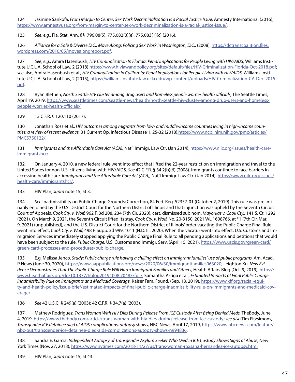124 Jasmine Sankofa, *From Margin to Center: Sex Work Decriminalization is a Racial Justice Issue,* Amnesty International (2016), [https://www.amnestyusa.org/from-margin-to-center-sex-work-decriminalization-is-a-racial-justice-issue/.](https://www.amnestyusa.org/from-margin-to-center-sex-work-decriminalization-is-a-racial-justice-issue/)

125 *See*, *e.g.*, Fla. Stat. Ann. §§ 796.08(5), 775.082(3)(e), 775.083(1)(c) (2016).

126 *Alliance for a Safe & Diverse D.C., Move Along: Policing Sex Work in Washington, D.C., (2008), [https://dctranscoalition.files.](https://dctranscoalition.files.wordpress.com/2010/05/movealongreport.pdf)* [wordpress.com/2010/05/movealongreport.pdf](https://dctranscoalition.files.wordpress.com/2010/05/movealongreport.pdf).

127 *See*, *e.g.*, Amira Hasenbush, *HIV Criminalization In Florida: Penal Implications for People Living with HIV/AIDS,* Williams Institute U.C.L.A. School of Law, 2 (2018) <https://www.hivlawandpolicy.org/sites/default/files/HIV-Criminalization-Florida-Oct-2018.pdf>; *see* also, Amira Hasenbush et al., *HIV Criminalization In California: Penal Implications for People Living with HIV/AIDS,* Williams Institute U.C.L.A. School of Law, 2 (2015), [https://williamsinstitute.law.ucla.edu/wp-content/uploads/HIV-Criminalization-CA-Dec-2015.](https://williamsinstitute.law.ucla.edu/wp-content/uploads/HIV-Criminalization-CA-Dec-2015.pdf) [pdf.](https://williamsinstitute.law.ucla.edu/wp-content/uploads/HIV-Criminalization-CA-Dec-2015.pdf)

128 Ryan Blethen, *North Seattle HIV cluster among drug users and homeless people worries health officials,* The Seattle Times, April 19, 2019, [https://www.seattletimes.com/seattle-news/health/north-seattle-hiv-cluster-among-drug-users-and-homeless](https://www.seattletimes.com/seattle-news/health/north-seattle-hiv-cluster-among-drug-users-and-homeless-people-worries-health-officials/)[people-worries-health-officials/](https://www.seattletimes.com/seattle-news/health/north-seattle-hiv-cluster-among-drug-users-and-homeless-people-worries-health-officials/).

129 13 C.F.R. § 120.110 (2017).

130 Jonathan Ross et al., *HIV outcomes among migrants from low- and middle-income countries living in high-income countries: a review of recent evidence,* 31 Current Op. Infectious Disease 1, 25-32 (2018)[,https://www.ncbi.nlm.nih.gov/pmc/articles/](https://www.ncbi.nlm.nih.gov/pmc/articles/PMC5750122/) [PMC5750122/](https://www.ncbi.nlm.nih.gov/pmc/articles/PMC5750122/).

131 *Immigrants and the Affordable Care Act (ACA),* Nat'l Immigr. Law Ctr. (Jan 2014), [https://www.nilc.org/issues/health-care/](https://www.nilc.org/issues/health-care/immigrantshcr/) [immigrantshcr/](https://www.nilc.org/issues/health-care/immigrantshcr/).

132 On January 4, 2010, a new federal rule went into effect that lifted the 22-year restriction on immigration and travel to the United States for non-U.S. citizens living with HIV/AIDS. *See* 42 C.F.R. § 34.2(b)(6) (2008). Immigrants continue to face barriers in accessing health care. *Immigrants and the Affordable Care Act (ACA),* Nat'l Immigr. Law Ctr. (Jan 2014), [https://www.nilc.org/issues/](https://www.nilc.org/issues/health-care/immigrantshcr/) [health-care/immigrantshcr/](https://www.nilc.org/issues/health-care/immigrantshcr/).

133 HIV Plan, *supra* note 15, at 3.

134 *See* Inadmissibility on Public Charge Grounds; Correction, 84 Fed. Reg. 52357-01 (October 2, 2019). This rule was preliminarily enjoined by the U.S. District Court for the Northern District of Illinois and that injunction was upheld by the Seventh Circuit Court of Appeals, *Cook Cty. v. Wolf,* 962 F. 3d 208, 234 (7th Cir. 2020), cert. dismissed sub nom. *Mayorkas v. Cook Cty.,* 141 S. Ct. 1292 (2021). On March 9, 2021, the Seventh Circuit lifted its stay, *Cook Cty. v. Wolf,* No. 20-3150, 2021 WL 1608766, at \*1 (7th Cir. Mar. 9, 2021) (unpublished), and the U.S. District Court for the Northern District of Illinois' order vacating the Public Charge Final Rule went into effect, *Cook Cty. v. Wolf,* 498 F. Supp. 3d 999, 1011 (N.D. Ill. 2020). When the vacatur went into effect, U.S. Customs and Immigraion Services immediately stopped applying the Public Charge Final Rule to all pending applications and petitions that would have been subject to the rule. *Public Charge,* U.S. Customs and Immigr. Serv. (April 15, 2021), [https://www.uscis.gov/green-card/](https://www.uscis.gov/green-card/green-card-processes-and-procedures/public-charge) [green-card-processes-and-procedures/public-charge.](https://www.uscis.gov/green-card/green-card-processes-and-procedures/public-charge)

135 E.g, Melissa Jenco, *Study: Public charge rule having a chilling effect on immigrant families' use of public programs,* Am. Acad. P News (June 30, 2020), [https://www.aappublications.org/news/2020/06/30/immigrantfamilies063020;](https://www.aappublications.org/news/2020/06/30/immigrantfamilies063020) Leighton Ku, *New Evidence Demonstrates That The Public Charge Rule Will Harm Immigrant Families and Others,* Health Affairs Blog (Oct. 9, 2019), [https://](https://www.healthaffairs.org/do/10.1377/hblog20191008.70483/full/) [www.healthaffairs.org/do/10.1377/hblog20191008.70483/full/;](https://www.healthaffairs.org/do/10.1377/hblog20191008.70483/full/) Samantha Artiga et al., *Estimated Impacts of Final Public Charge Inadmissibility Rule on Immigrants and Medicaid Coverage,* Kaiser Fam. Found. (Sep. 18, 2019), [https://www.kff.org/racial-equi](https://www.kff.org/racial-equity-and-health-policy/issue-brief/estimated-impacts-of-final-public-charge-inadmissibility-rule-on-immigrants-and-medicaid-coverage/)[ty-and-health-policy/issue-brief/estimated-impacts-of-final-public-charge-inadmissibility-rule-on-immigrants-and-medicaid-cov](https://www.kff.org/racial-equity-and-health-policy/issue-brief/estimated-impacts-of-final-public-charge-inadmissibility-rule-on-immigrants-and-medicaid-coverage/)[erage/](https://www.kff.org/racial-equity-and-health-policy/issue-brief/estimated-impacts-of-final-public-charge-inadmissibility-rule-on-immigrants-and-medicaid-coverage/).

136 *See* 42 U.S.C. § 249(a) (2003); 42 C.F.R. § 34.7(a) (2003).

137 Mathew Rodriguez, *Trans Woman With HIV Dies During Release From ICE Custody After Being Denied Meds,* TheBody, June 4, 2019,<https://www.thebody.com/article/trans-woman-with-hiv-dies-during-release-from-ice-custody>; *see also* Tim Fitzsimons, *Transgender ICE detainee died of AIDS complications, autopsy shows,* NBC News, April 17, 2019, [https://www.nbcnews.com/feature/](https://www.nbcnews.com/feature/nbc-out/transgender-ice-detainee-died-aids-complications-autopsy-shows-n994836) [nbc-out/transgender-ice-detainee-died-aids-complications-autopsy-shows-n994836.](https://www.nbcnews.com/feature/nbc-out/transgender-ice-detainee-died-aids-complications-autopsy-shows-n994836)

138 Sandra E. Garcia, *Independent Autopsy of Transgender Asylum Seeker Who Died in ICE Custody Shows Signs of Abuse,* New York Times (Nov. 27, 2018), [https://www.nytimes.com/2018/11/27/us/trans-woman-roxsana-hernandez-ice-autopsy.html.](https://www.nytimes.com/2018/11/27/us/trans-woman-roxsana-hernandez-ice-autopsy.html)

139 HIV Plan, *supra* note 15, at 43.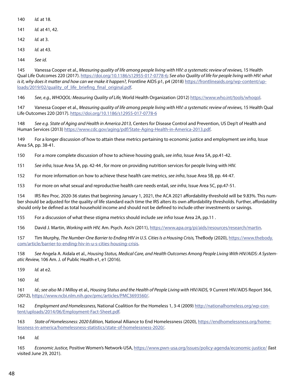- *Id.* at 18.
- *Id.* at 41, 42.
- *Id.* at 3.
- *Id.* at 43.
- *See id.*

 Vanessa Cooper et al., *Measuring quality of life among people living with HIV: a systematic review of reviews,* 15 Health Qual Life Outcomes 220 (2017). [https://doi.org/10.1186/s12955-017-0778-6;](https://doi.org/10.1186/s12955-017-0778-6) *See also Quality of life for people living with HIV: what is it, why does it matter and how can we make it happen?,* Frontline AIDS p1, p4 (2018) [https://frontlineaids.org/wp-content/up](https://frontlineaids.org/wp-content/uploads/2019/02/quality_of_life_briefing_final_original.pdf)[loads/2019/02/quality\\_of\\_life\\_briefing\\_final\\_original.pdf](https://frontlineaids.org/wp-content/uploads/2019/02/quality_of_life_briefing_final_original.pdf).

*See*, *e.g.*, *WHOQOL: Measuring Quality of Life,* World Health Organization (2012)<https://www.who.int/tools/whoqol>.

 Vanessa Cooper et al., *Measuring quality of life among people living with HIV: a systematic review of reviews,* 15 Health Qual Life Outcomes 220 (2017). <https://doi.org/10.1186/s12955-017-0778-6>

 *See e.g. State of Aging and Health in America 2013,* Centers for Disease Control and Prevention, US Dep't of Health and Human Services (2013) [https://www.cdc.gov/aging/pdf/State-Aging-Health-in-America-2013.pdf.](https://www.cdc.gov/aging/pdf/State-Aging-Health-in-America-2013.pdf)

 For a longer discussion of how to attain these metrics pertaining to economic justice and employment *see infra,* Issue Area 5A, pp. 38-41.

For a more complete discussion of how to achieve housing goals, *see infra*, Issue Area 5A, pp.41-42.

*See infra*, Issue Area 5A, pp. 42-44 , for more on providing nutrition services for people living with HIV.

For more information on how to achieve these health care metrics, *see infra*, Issue Area 5B, pp. 44-47.

For more on what sexual and reproductive health care needs entail, *see infra*, Issue Area 5C, pp.47-51.

 IRS Rev Proc. 2020-36 states that beginning January 1, 2021, the ACA 2021 affordability threshold will be 9.83%. This number should be adjusted for the quality of life standard each time the IRS alters its own affordability thresholds. Further, affordability should only be defined as total household income and should not be defined to include other investments or savings.

For a discussion of what these stigma metrics should include *see infra* Issue Area 2A, pp.11 .

David J. Martin, *Working with HIV,* Am. Psych. Ass'n (2011), <https://www.apa.org/pi/aids/resources/research/martin>.

 Tim Murphy, *The Number-One Barrier to Ending HIV in U.S. Cities Is a Housing Crisis,* TheBody (2020), [https://www.thebody.](https://www.thebody.com/article/barrier-to-ending-hiv-in-u-s-cities-housing-crisis) [com/article/barrier-to-ending-hiv-in-u-s-cities-housing-crisis](https://www.thebody.com/article/barrier-to-ending-hiv-in-u-s-cities-housing-crisis).

 *See* Angela A. Aidala et al., *Housing Status, Medical Care, and Health Outcomes Among People Living With HIV/AIDS: A Systematic Review,* 106 Am. J. of Public Health e1, e1 (2016).

*Id.* at e2.

*Id.*

 *Id.*; *see also* M-J Milloy et al., *Housing Status and the Health of People Living with HIV/AIDS,* 9 Current HIV/AIDS Report 364, (2012), [https://www.ncbi.nlm.nih.gov/pmc/articles/PMC3693560/.](https://www.ncbi.nlm.nih.gov/pmc/articles/PMC3693560/)

 *Employment and Homelessness,* National Coalition for the Homeless 1, 3-4 (2009) [http://nationalhomeless.org/wp-con](http://nationalhomeless.org/wp-content/uploads/2014/06/Employment-Fact-Sheet.pdf)[tent/uploads/2014/06/Employment-Fact-Sheet.pdf.](http://nationalhomeless.org/wp-content/uploads/2014/06/Employment-Fact-Sheet.pdf)

 *State of Homelessness: 2020 Edition,* National Alliance to End Homelessness (2020), [https://endhomelessness.org/home](https://endhomelessness.org/homelessness-in-america/homelessness-statistics/state-of-homelessness-2020/)[lessness-in-america/homelessness-statistics/state-of-homelessness-2020/](https://endhomelessness.org/homelessness-in-america/homelessness-statistics/state-of-homelessness-2020/).

*Id.*

 *Economic Justice,* Positive Women's Network-USA, <https://www.pwn-usa.org/issues/policy-agenda/economic-justice/> (last visited June 29, 2021).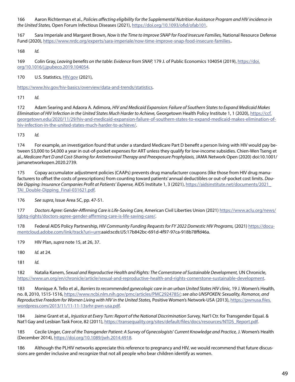166 Aaron Richterman et al., *Policies affecting eligibility for the Supplemental Nutrition Assistance Program and HIV incidence in the United States,* Open Forum Infectious Diseases (2021), <https://doi.org/10.1093/ofid/ofab101>.

167 Sara Imperiale and Margaret Brown, *Now Is the Time to Improve SNAP for Food Insecure Families,* National Resource Defense Fund (2020), [https://www.nrdc.org/experts/sara-imperiale/now-time-improve-snap-food-insecure-families.](https://www.nrdc.org/experts/sara-imperiale/now-time-improve-snap-food-insecure-families).

168 *Id.*

169 Colin Gray, *Leaving benefits on the table: Evidence from SNAP,* 179 J. of Public Economics 104054 (2019), [https://doi.](https://doi.org/10.1016/j.jpubeco.2019.104054) [org/10.1016/j.jpubeco.2019.104054.](https://doi.org/10.1016/j.jpubeco.2019.104054)

170 U.S. Statistics, [HIV.gov](http://HIV.gov) (2021),

[https://www.hiv.gov/hiv-basics/overview/data-and-trends/statistics.](https://www.hiv.gov/hiv-basics/overview/data-and-trends/statistics)

171 *Id.*

172 Adam Searing and Adaora A. Adimora, *HIV and Medicaid Expansion: Failure of Southern States to Expand Medicaid Makes Elimination of HIV Infection in the United States Much Harder to Achieve,* Georgetown Health Policy Institute 1, 1 (2020), [https://ccf.](https://ccf.georgetown.edu/2020/11/29/hiv-and-medicaid-expansion-failure-of-southern-states-to-expand-medicaid-makes-elimination-of-hiv-infection-in-the-united-states-much-harder-to-achieve/) [georgetown.edu/2020/11/29/hiv-and-medicaid-expansion-failure-of-southern-states-to-expand-medicaid-makes-elimination-of](https://ccf.georgetown.edu/2020/11/29/hiv-and-medicaid-expansion-failure-of-southern-states-to-expand-medicaid-makes-elimination-of-hiv-infection-in-the-united-states-much-harder-to-achieve/)[hiv-infection-in-the-united-states-much-harder-to-achieve/](https://ccf.georgetown.edu/2020/11/29/hiv-and-medicaid-expansion-failure-of-southern-states-to-expand-medicaid-makes-elimination-of-hiv-infection-in-the-united-states-much-harder-to-achieve/).

173 *Id.*

174 For example, an investigation found that under a standard Medicare Part D benefit a person living with HIV would pay between \$3,000 to \$4,000 a year in out-of-pocket expenses for ART unless they qualify for low-income subsidies. Chien-Wen Tseng et al., *Medicare Part D and Cost-Sharing for Antiretroviral Therapy and Preexposure Prophylaxis,* JAMA Network Open (2020) doi:10.1001/ jamanetworkopen.2020.2739.

175 Copay accumulator adjustment policies (CAAPs) prevents drug manufacturer coupons (like those from HIV drug manufacturers to offset the costs of prescriptions) from counting toward patients' annual deductibles or out-of-pocket cost limits. *Double Dipping: Insurance Companies Profit at Patients' Expense,* AIDS Institute 1, 3 (2021), [https://aidsinstitute.net/documents/2021\\_](https://aidsinstitute.net/documents/2021_TAI_Double-Dipping_Final-031621.pdf) [TAI\\_Double-Dipping\\_Final-031621.pdf](https://aidsinstitute.net/documents/2021_TAI_Double-Dipping_Final-031621.pdf).

176 *See supra*, Issue Area 5C, pp. 47-51.

177 *Doctors Agree: Gender-Affirming Care is Life-Saving Care,* American Civil Liberties Union (2021) [https://www.aclu.org/news/](https://www.aclu.org/news/lgbtq-rights/doctors-agree-gender-affirming-care-is-life-saving-care/) [lgbtq-rights/doctors-agree-gender-affirming-care-is-life-saving-care/](https://www.aclu.org/news/lgbtq-rights/doctors-agree-gender-affirming-care-is-life-saving-care/).

178 Federal AIDS Policy Partnership, *HIV Community Funding Requests for FY 2022 Domestic HIV Programs,* (2021) [https://docu](https://documentcloud.adobe.com/link/track?uri=urn)[mentcloud.adobe.com/link/track?uri=urn](https://documentcloud.adobe.com/link/track?uri=urn):aaid:scds:US:17b842bc-691d-4f97-97ca-918b78ffd46a.

179 HIV Plan, *supra* note 15, at 26, 37.

180 *Id.* at 24.

181 *Id.*

182 Natalia Kanem, *Sexual and Reproductive Health and Rights: The Cornerstone of Sustainable Development,* UN Chronicle, [https://www.un.org/en/chronicle/article/sexual-and-reproductive-health-and-rights-cornerstone-sustainable-development.](https://www.un.org/en/chronicle/article/sexual-and-reproductive-health-and-rights-cornerstone-sustainable-development)

183 Monique A. Tello et al., *Barriers to recommended gynecologic care in an urban United States HIV clinic,* 19 J. Women's Health, no. 8, 2010, 1515-1516, [https://www.ncbi.nlm.nih.gov/pmc/articles/PMC2924785/;](https://www.ncbi.nlm.nih.gov/pmc/articles/PMC2924785/) *see also UNSPOKEN: Sexuality, Romance, and Reproductive Freedom for Women Living with HIV in the United States,* Positive Women's Network-USA (2013), [https://pwnusa.files.](https://pwnusa.files.wordpress.com/2013/11/11-11-13srhr-pwn-usa.pdf) [wordpress.com/2013/11/11-11-13srhr-pwn-usa.pdf.](https://pwnusa.files.wordpress.com/2013/11/11-11-13srhr-pwn-usa.pdf)

184 Jaime Grant et al., *Injustice at Every Turn: Report of the National Discrimination Survey,* Nat'l Ctr. for Transgender Equal. & Nat'l Gay and Lesbian Task Force, 82 (2011), [https://transequality.org/sites/default/files/docs/resources/NTDS\\_Report.pdf](https://transequality.org/sites/default/files/docs/resources/NTDS_Report.pdf).

185 Cecile Unger, *Care of the Transgender Patient: A Survey of Gynecologists' Current Knowledge and Practice,* J. Women's Health (December 2014), [https://doi.org/10.1089/jwh.2014.4918.](https://doi.org/10.1089/jwh.2014.4918)

186 Although the PLHIV networks appreciate this reference to pregnancy and HIV, we would recommend that future discussions are gender inclusive and recognize that not all people who bear children identify as women.